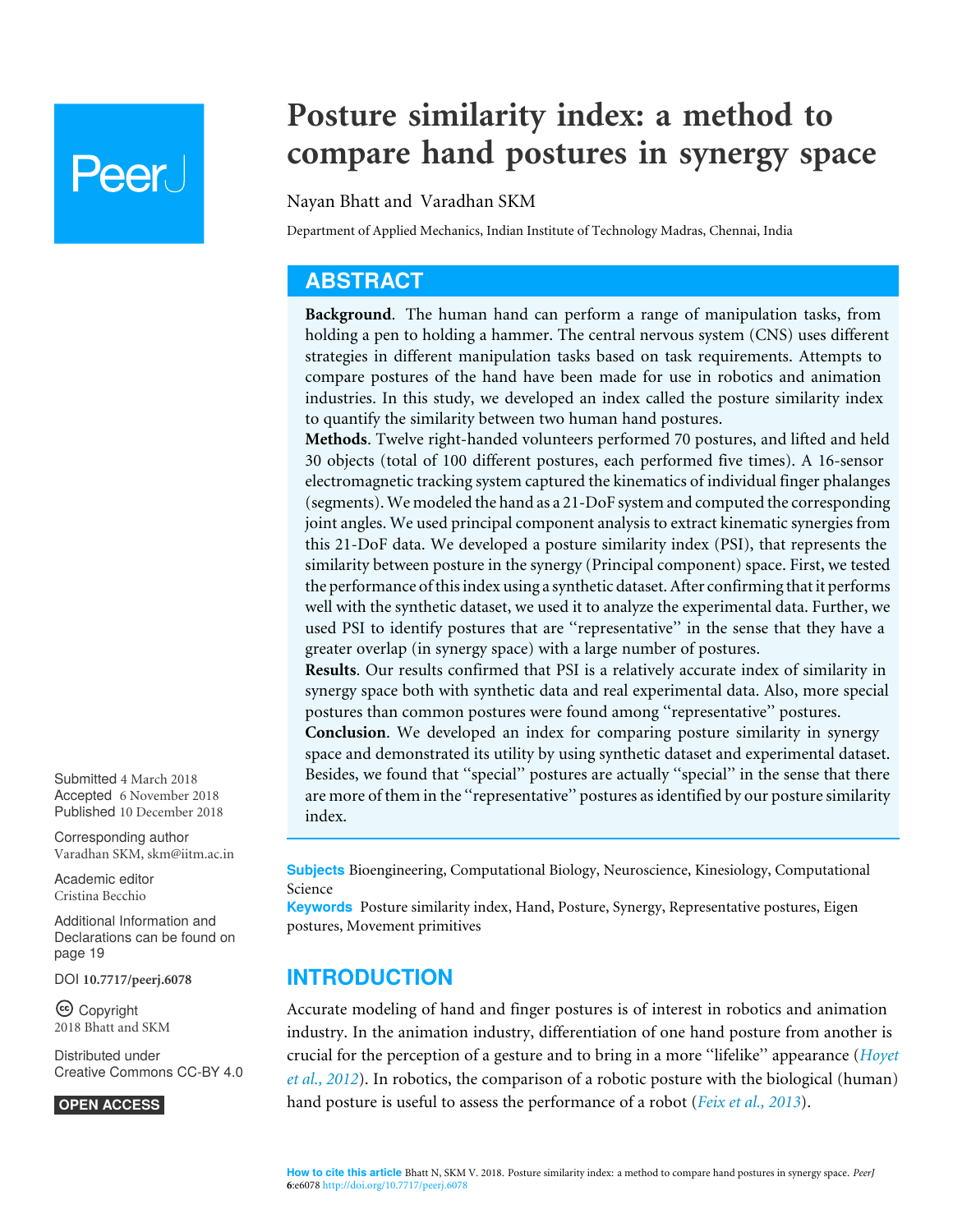# **Peer**

## **Posture similarity index: a method to compare hand postures in synergy space**

#### Nayan Bhatt and Varadhan SKM

Department of Applied Mechanics, Indian Institute of Technology Madras, Chennai, India

## **ABSTRACT**

**Background**. The human hand can perform a range of manipulation tasks, from holding a pen to holding a hammer. The central nervous system (CNS) uses different strategies in different manipulation tasks based on task requirements. Attempts to compare postures of the hand have been made for use in robotics and animation industries. In this study, we developed an index called the posture similarity index to quantify the similarity between two human hand postures.

**Methods**. Twelve right-handed volunteers performed 70 postures, and lifted and held 30 objects (total of 100 different postures, each performed five times). A 16-sensor electromagnetic tracking system captured the kinematics of individual finger phalanges (segments). We modeled the hand as a 21-DoF system and computed the corresponding joint angles. We used principal component analysis to extract kinematic synergies from this 21-DoF data. We developed a posture similarity index (PSI), that represents the similarity between posture in the synergy (Principal component) space. First, we tested the performance of this index using a synthetic dataset. After confirming that it performs well with the synthetic dataset, we used it to analyze the experimental data. Further, we used PSI to identify postures that are ''representative'' in the sense that they have a greater overlap (in synergy space) with a large number of postures.

**Results**. Our results confirmed that PSI is a relatively accurate index of similarity in synergy space both with synthetic data and real experimental data. Also, more special postures than common postures were found among ''representative'' postures.

**Conclusion**. We developed an index for comparing posture similarity in synergy space and demonstrated its utility by using synthetic dataset and experimental dataset. Besides, we found that "special" postures are actually "special" in the sense that there are more of them in the ''representative'' postures as identified by our posture similarity index.

Submitted 4 March 2018 Accepted 6 November 2018 Published 10 December 2018

Corresponding author Varadhan SKM, skm@iitm.ac.in

Academic editor Cristina Becchio

Additional Information and Declarations can be found on page 19

DOI **10.7717/peerj.6078**

Copyright 2018 Bhatt and SKM

Distributed under Creative Commons CC-BY 4.0

**OPEN ACCESS**

**Subjects** Bioengineering, Computational Biology, Neuroscience, Kinesiology, Computational Science

**Keywords** Posture similarity index, Hand, Posture, Synergy, Representative postures, Eigen postures, Movement primitives

## **INTRODUCTION**

Accurate modeling of hand and finger postures is of interest in robotics and animation industry. In the animation industry, differentiation of one hand posture from another is crucial for the perception of a gesture and to bring in a more ''lifelike'' appearance (*Hoyet et al., 2012*). In robotics, the comparison of a robotic posture with the biological (human) hand posture is useful to assess the performance of a robot (*Feix et al., 2013*).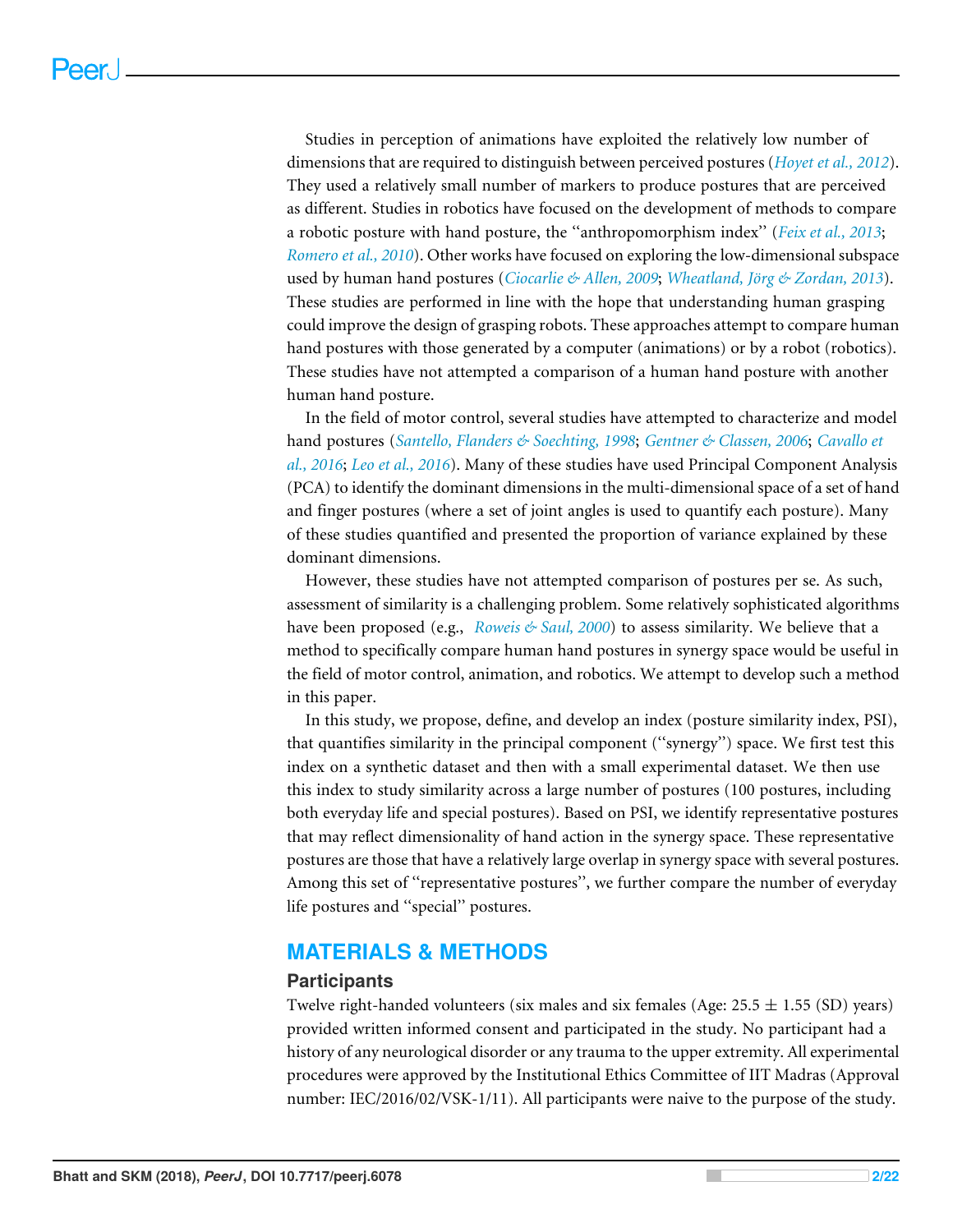Studies in perception of animations have exploited the relatively low number of dimensions that are required to distinguish between perceived postures (*Hoyet et al., 2012*). They used a relatively small number of markers to produce postures that are perceived as different. Studies in robotics have focused on the development of methods to compare a robotic posture with hand posture, the ''anthropomorphism index'' (*Feix et al., 2013*; *Romero et al., 2010*). Other works have focused on exploring the low-dimensional subspace used by human hand postures (*Ciocarlie & Allen, 2009*; *Wheatland, Jörg & Zordan, 2013*). These studies are performed in line with the hope that understanding human grasping could improve the design of grasping robots. These approaches attempt to compare human hand postures with those generated by a computer (animations) or by a robot (robotics). These studies have not attempted a comparison of a human hand posture with another human hand posture.

In the field of motor control, several studies have attempted to characterize and model hand postures (*Santello, Flanders & Soechting, 1998*; *Gentner & Classen, 2006*; *Cavallo et al., 2016*; *Leo et al., 2016*). Many of these studies have used Principal Component Analysis (PCA) to identify the dominant dimensions in the multi-dimensional space of a set of hand and finger postures (where a set of joint angles is used to quantify each posture). Many of these studies quantified and presented the proportion of variance explained by these dominant dimensions.

However, these studies have not attempted comparison of postures per se. As such, assessment of similarity is a challenging problem. Some relatively sophisticated algorithms have been proposed (e.g., *Roweis & Saul, 2000*) to assess similarity. We believe that a method to specifically compare human hand postures in synergy space would be useful in the field of motor control, animation, and robotics. We attempt to develop such a method in this paper.

In this study, we propose, define, and develop an index (posture similarity index, PSI), that quantifies similarity in the principal component (''synergy'') space. We first test this index on a synthetic dataset and then with a small experimental dataset. We then use this index to study similarity across a large number of postures (100 postures, including both everyday life and special postures). Based on PSI, we identify representative postures that may reflect dimensionality of hand action in the synergy space. These representative postures are those that have a relatively large overlap in synergy space with several postures. Among this set of ''representative postures'', we further compare the number of everyday life postures and ''special'' postures.

## **MATERIALS & METHODS**

#### **Participants**

Twelve right-handed volunteers (six males and six females (Age:  $25.5 \pm 1.55$  (SD) years) provided written informed consent and participated in the study. No participant had a history of any neurological disorder or any trauma to the upper extremity. All experimental procedures were approved by the Institutional Ethics Committee of IIT Madras (Approval number: IEC/2016/02/VSK-1/11). All participants were naive to the purpose of the study.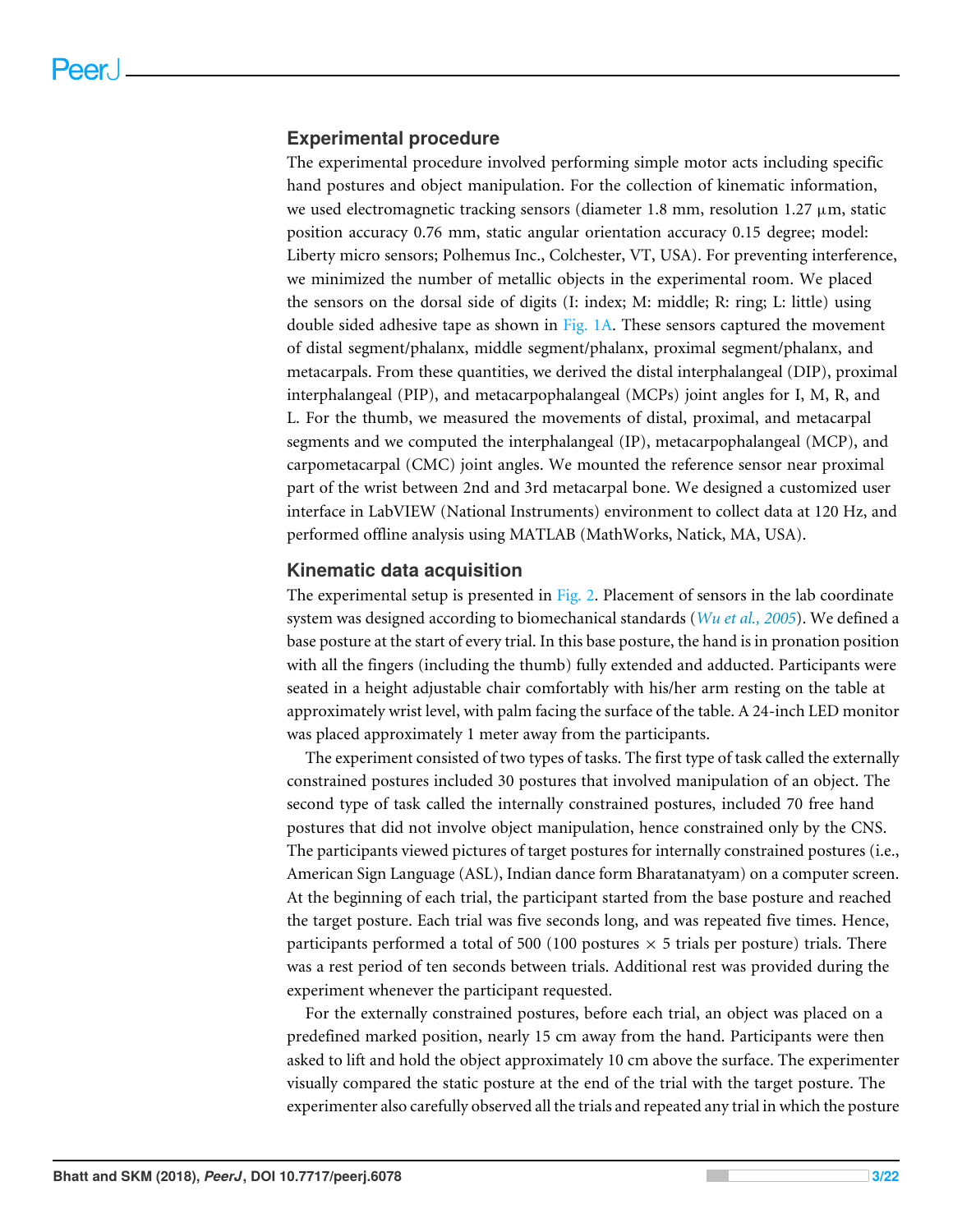#### **Experimental procedure**

The experimental procedure involved performing simple motor acts including specific hand postures and object manipulation. For the collection of kinematic information, we used electromagnetic tracking sensors (diameter 1.8 mm, resolution 1.27  $\mu$ m, static position accuracy 0.76 mm, static angular orientation accuracy 0.15 degree; model: Liberty micro sensors; Polhemus Inc., Colchester, VT, USA). For preventing interference, we minimized the number of metallic objects in the experimental room. We placed the sensors on the dorsal side of digits (I: index; M: middle; R: ring; L: little) using double sided adhesive tape as shown in Fig. 1A. These sensors captured the movement of distal segment/phalanx, middle segment/phalanx, proximal segment/phalanx, and metacarpals. From these quantities, we derived the distal interphalangeal (DIP), proximal interphalangeal (PIP), and metacarpophalangeal (MCPs) joint angles for I, M, R, and L. For the thumb, we measured the movements of distal, proximal, and metacarpal segments and we computed the interphalangeal (IP), metacarpophalangeal (MCP), and carpometacarpal (CMC) joint angles. We mounted the reference sensor near proximal part of the wrist between 2nd and 3rd metacarpal bone. We designed a customized user interface in LabVIEW (National Instruments) environment to collect data at 120 Hz, and performed offline analysis using MATLAB (MathWorks, Natick, MA, USA).

#### **Kinematic data acquisition**

The experimental setup is presented in Fig. 2. Placement of sensors in the lab coordinate system was designed according to biomechanical standards (*Wu et al., 2005*). We defined a base posture at the start of every trial. In this base posture, the hand is in pronation position with all the fingers (including the thumb) fully extended and adducted. Participants were seated in a height adjustable chair comfortably with his/her arm resting on the table at approximately wrist level, with palm facing the surface of the table. A 24-inch LED monitor was placed approximately 1 meter away from the participants.

The experiment consisted of two types of tasks. The first type of task called the externally constrained postures included 30 postures that involved manipulation of an object. The second type of task called the internally constrained postures, included 70 free hand postures that did not involve object manipulation, hence constrained only by the CNS. The participants viewed pictures of target postures for internally constrained postures (i.e., American Sign Language (ASL), Indian dance form Bharatanatyam) on a computer screen. At the beginning of each trial, the participant started from the base posture and reached the target posture. Each trial was five seconds long, and was repeated five times. Hence, participants performed a total of 500 (100 postures  $\times$  5 trials per posture) trials. There was a rest period of ten seconds between trials. Additional rest was provided during the experiment whenever the participant requested.

For the externally constrained postures, before each trial, an object was placed on a predefined marked position, nearly 15 cm away from the hand. Participants were then asked to lift and hold the object approximately 10 cm above the surface. The experimenter visually compared the static posture at the end of the trial with the target posture. The experimenter also carefully observed all the trials and repeated any trial in which the posture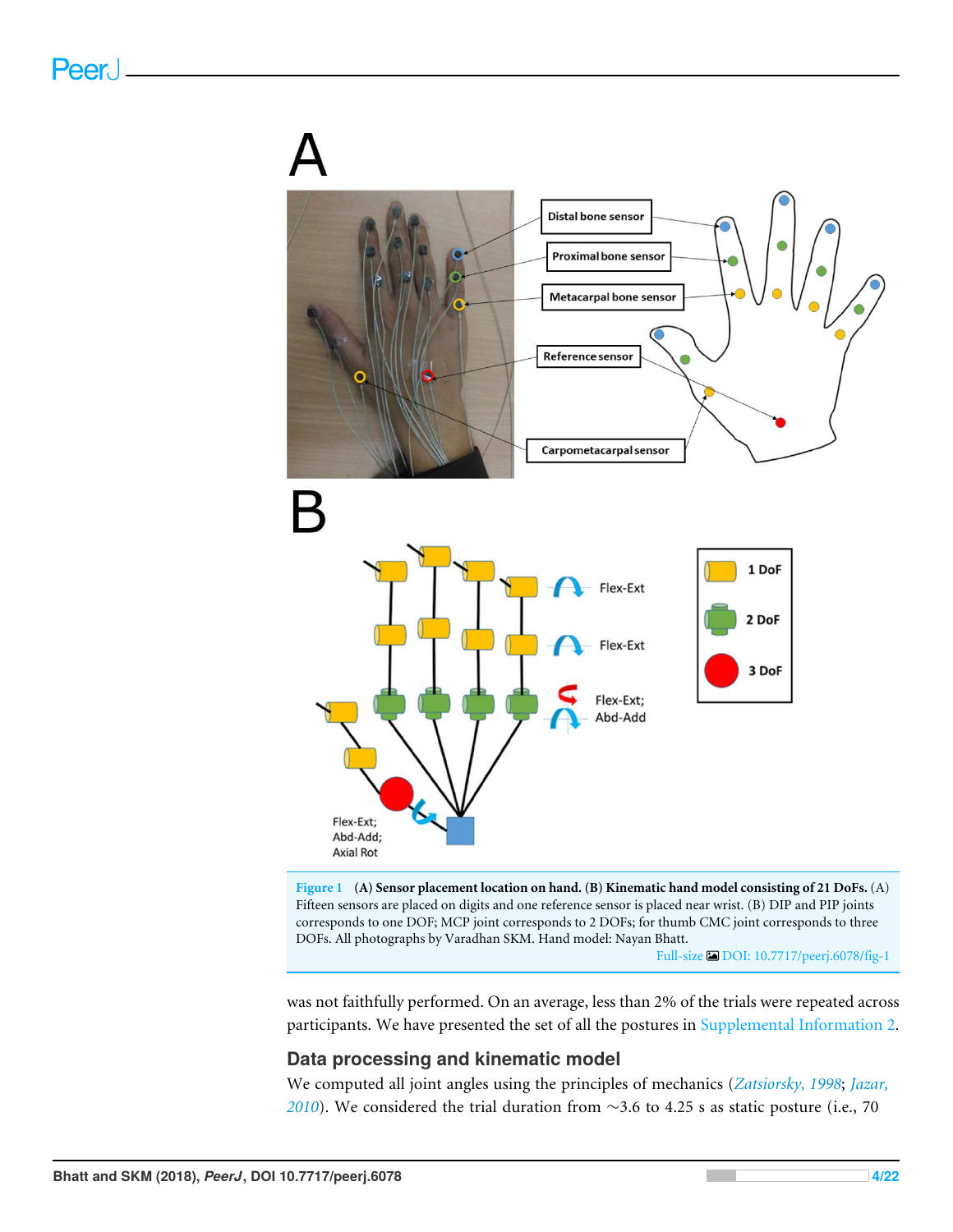

**Figure 1 (A) Sensor placement location on hand. (B) Kinematic hand model consisting of 21 DoFs.** (A) Fifteen sensors are placed on digits and one reference sensor is placed near wrist. (B) DIP and PIP joints corresponds to one DOF; MCP joint corresponds to 2 DOFs; for thumb CMC joint corresponds to three DOFs. All photographs by Varadhan SKM. Hand model: Nayan Bhatt.

Full-size DOI: 10.7717/peerj.6078/fig-1

was not faithfully performed. On an average, less than 2% of the trials were repeated across participants. We have presented the set of all the postures in Supplemental Information 2.

#### **Data processing and kinematic model**

We computed all joint angles using the principles of mechanics (*Zatsiorsky, 1998*; *Jazar, 2010*). We considered the trial duration from ∼3.6 to 4.25 s as static posture (i.e., 70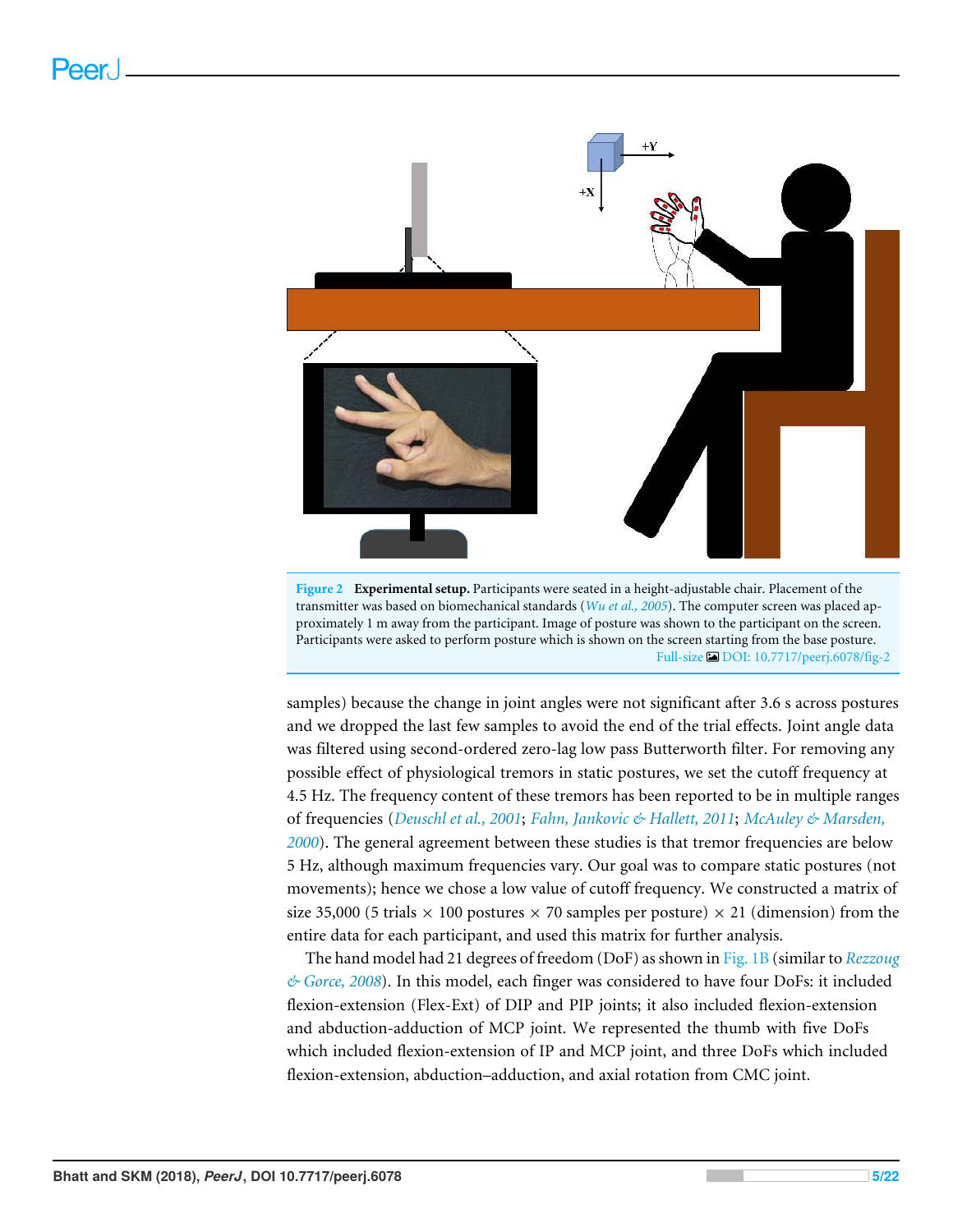

transmitter was based on biomechanical standards (*Wu et al., 2005*). The computer screen was placed approximately 1 m away from the participant. Image of posture was shown to the participant on the screen. Participants were asked to perform posture which is shown on the screen starting from the base posture. Full-size DOI: 10.7717/peerj.6078/fig-2

samples) because the change in joint angles were not significant after 3.6 s across postures and we dropped the last few samples to avoid the end of the trial effects. Joint angle data was filtered using second-ordered zero-lag low pass Butterworth filter. For removing any possible effect of physiological tremors in static postures, we set the cutoff frequency at 4.5 Hz. The frequency content of these tremors has been reported to be in multiple ranges of frequencies (*Deuschl et al., 2001*; *Fahn, Jankovic & Hallett, 2011*; *McAuley & Marsden, 2000*). The general agreement between these studies is that tremor frequencies are below 5 Hz, although maximum frequencies vary. Our goal was to compare static postures (not movements); hence we chose a low value of cutoff frequency. We constructed a matrix of size 35,000 (5 trials  $\times$  100 postures  $\times$  70 samples per posture)  $\times$  21 (dimension) from the entire data for each participant, and used this matrix for further analysis.

The hand model had 21 degrees of freedom (DoF) as shown in Fig. 1B (similar to *Rezzoug & Gorce, 2008*). In this model, each finger was considered to have four DoFs: it included flexion-extension (Flex-Ext) of DIP and PIP joints; it also included flexion-extension and abduction-adduction of MCP joint. We represented the thumb with five DoFs which included flexion-extension of IP and MCP joint, and three DoFs which included flexion-extension, abduction–adduction, and axial rotation from CMC joint.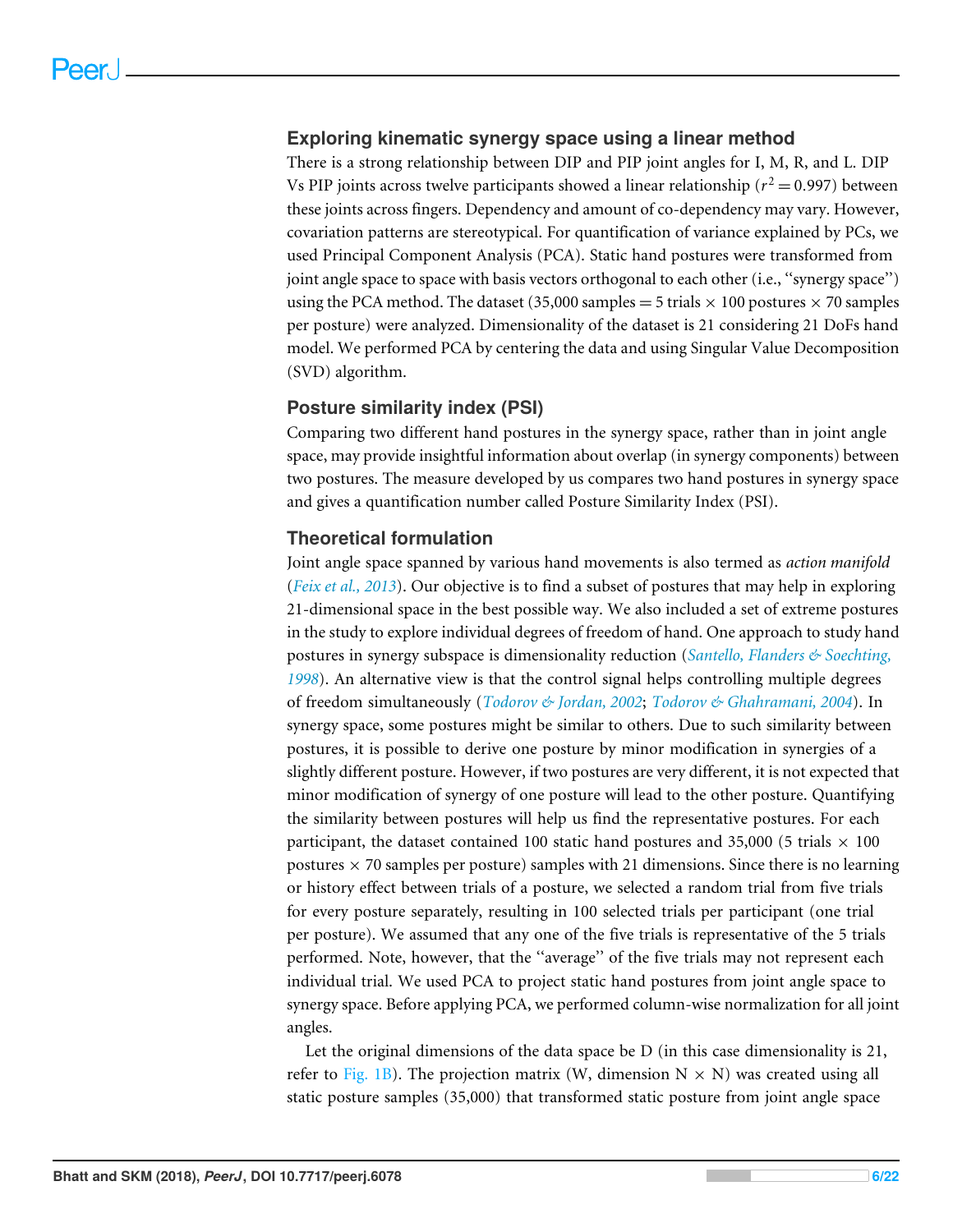#### **Exploring kinematic synergy space using a linear method**

There is a strong relationship between DIP and PIP joint angles for I, M, R, and L. DIP Vs PIP joints across twelve participants showed a linear relationship ( $r^2$  = 0.997) between these joints across fingers. Dependency and amount of co-dependency may vary. However, covariation patterns are stereotypical. For quantification of variance explained by PCs, we used Principal Component Analysis (PCA). Static hand postures were transformed from joint angle space to space with basis vectors orthogonal to each other (i.e., ''synergy space'') using the PCA method. The dataset (35,000 samples  $=$  5 trials  $\times$  100 postures  $\times$  70 samples per posture) were analyzed. Dimensionality of the dataset is 21 considering 21 DoFs hand model. We performed PCA by centering the data and using Singular Value Decomposition (SVD) algorithm.

#### **Posture similarity index (PSI)**

Comparing two different hand postures in the synergy space, rather than in joint angle space, may provide insightful information about overlap (in synergy components) between two postures. The measure developed by us compares two hand postures in synergy space and gives a quantification number called Posture Similarity Index (PSI).

#### **Theoretical formulation**

Joint angle space spanned by various hand movements is also termed as *action manifold* (*Feix et al., 2013*). Our objective is to find a subset of postures that may help in exploring 21-dimensional space in the best possible way. We also included a set of extreme postures in the study to explore individual degrees of freedom of hand. One approach to study hand postures in synergy subspace is dimensionality reduction (*Santello, Flanders & Soechting, 1998*). An alternative view is that the control signal helps controlling multiple degrees of freedom simultaneously (*Todorov & Jordan, 2002*; *Todorov & Ghahramani, 2004*). In synergy space, some postures might be similar to others. Due to such similarity between postures, it is possible to derive one posture by minor modification in synergies of a slightly different posture. However, if two postures are very different, it is not expected that minor modification of synergy of one posture will lead to the other posture. Quantifying the similarity between postures will help us find the representative postures. For each participant, the dataset contained 100 static hand postures and 35,000 (5 trials  $\times$  100 postures  $\times$  70 samples per posture) samples with 21 dimensions. Since there is no learning or history effect between trials of a posture, we selected a random trial from five trials for every posture separately, resulting in 100 selected trials per participant (one trial per posture). We assumed that any one of the five trials is representative of the 5 trials performed. Note, however, that the ''average'' of the five trials may not represent each individual trial. We used PCA to project static hand postures from joint angle space to synergy space. Before applying PCA, we performed column-wise normalization for all joint angles.

Let the original dimensions of the data space be D (in this case dimensionality is 21, refer to Fig. 1B). The projection matrix (W, dimension  $N \times N$ ) was created using all static posture samples (35,000) that transformed static posture from joint angle space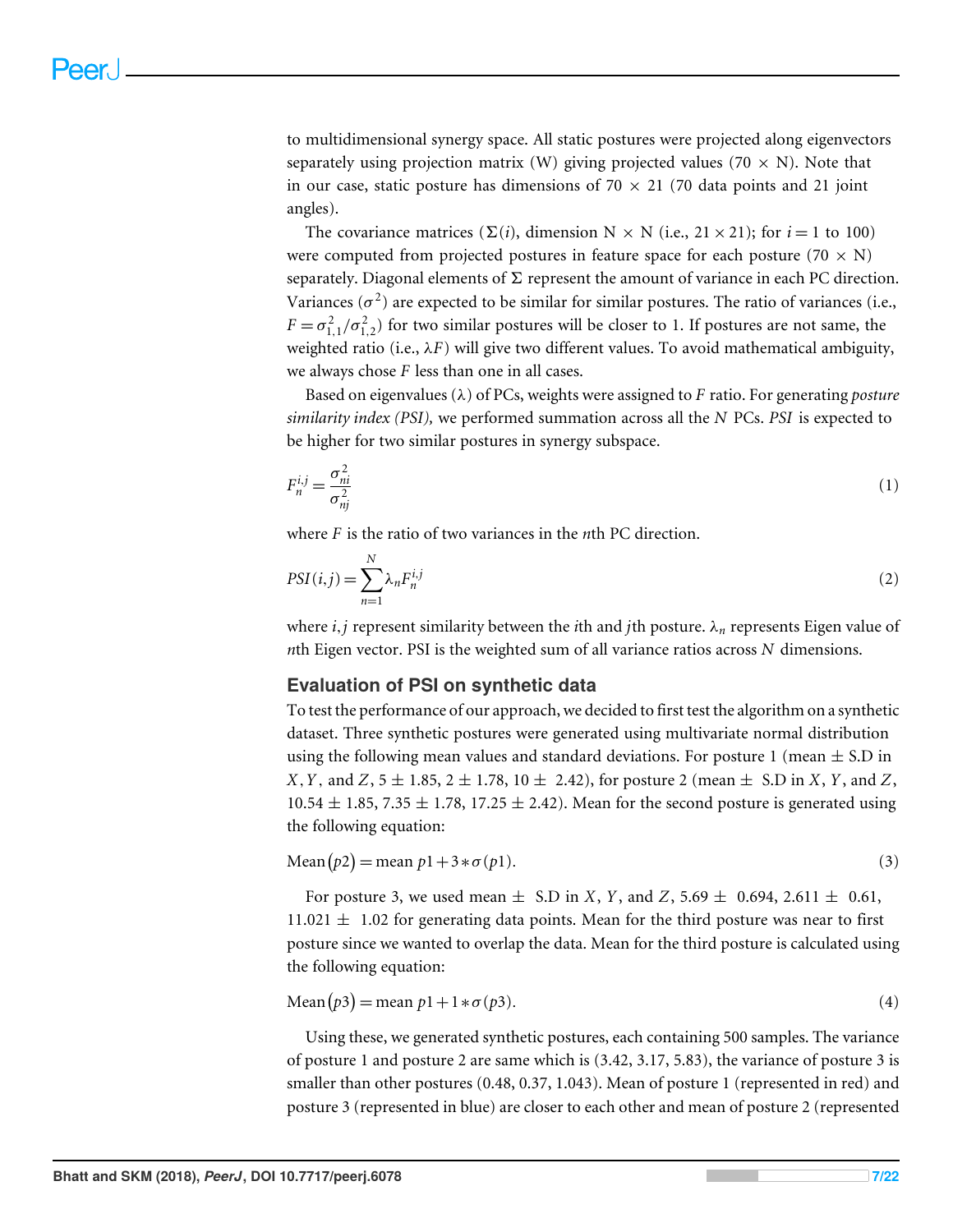to multidimensional synergy space. All static postures were projected along eigenvectors separately using projection matrix (W) giving projected values (70  $\times$  N). Note that in our case, static posture has dimensions of  $70 \times 21$  (70 data points and 21 joint angles).

The covariance matrices ( $\Sigma(i)$ , dimension N  $\times$  N (i.e., 21  $\times$  21); for  $i = 1$  to 100) were computed from projected postures in feature space for each posture (70  $\times$  N) separately. Diagonal elements of  $\Sigma$  represent the amount of variance in each PC direction. Variances ( $\sigma^2$ ) are expected to be similar for similar postures. The ratio of variances (i.e.,  $F = \sigma_{1,1}^2 / \sigma_{1,2}^2$ ) for two similar postures will be closer to 1. If postures are not same, the weighted ratio (i.e.,  $\lambda F$ ) will give two different values. To avoid mathematical ambiguity, we always chose *F* less than one in all cases.

Based on eigenvalues (λ) of PCs, weights were assigned to *F* ratio. For generating *posture similarity index (PSI),* we performed summation across all the *N* PCs. *PSI* is expected to be higher for two similar postures in synergy subspace.

$$
F_n^{i,j} = \frac{\sigma_{ni}^2}{\sigma_{nj}^2} \tag{1}
$$

where *F* is the ratio of two variances in the *n*th PC direction.

$$
PSI(i,j) = \sum_{n=1}^{N} \lambda_n F_n^{i,j} \tag{2}
$$

where *i*, *j* represent similarity between the *i*th and *j*th posture.  $\lambda_n$  represents Eigen value of *n*th Eigen vector. PSI is the weighted sum of all variance ratios across *N* dimensions.

#### **Evaluation of PSI on synthetic data**

To test the performance of our approach, we decided to first test the algorithm on a synthetic dataset. Three synthetic postures were generated using multivariate normal distribution using the following mean values and standard deviations. For posture 1 (mean  $\pm$  S.D in *X*, *Y*, and *Z*,  $5 \pm 1.85$ ,  $2 \pm 1.78$ ,  $10 \pm 2.42$ ), for posture 2 (mean  $\pm$  S.D in *X*, *Y*, and *Z*,  $10.54 \pm 1.85$ ,  $7.35 \pm 1.78$ ,  $17.25 \pm 2.42$ ). Mean for the second posture is generated using the following equation:

Mean
$$
(\mathit{p2}) = \text{mean } \mathit{p1} + 3 * \sigma(\mathit{p1}).
$$
\n<sup>(3)</sup>

For posture 3, we used mean  $\pm$  S.D in *X*, *Y*, and *Z*, 5.69  $\pm$  0.694, 2.611  $\pm$  0.61,  $11.021 \pm 1.02$  for generating data points. Mean for the third posture was near to first posture since we wanted to overlap the data. Mean for the third posture is calculated using the following equation:

$$
\text{Mean}(p3) = \text{mean } p1 + 1 * \sigma(p3). \tag{4}
$$

Using these, we generated synthetic postures, each containing 500 samples. The variance of posture 1 and posture 2 are same which is (3.42, 3.17, 5.83), the variance of posture 3 is smaller than other postures (0.48, 0.37, 1.043). Mean of posture 1 (represented in red) and posture 3 (represented in blue) are closer to each other and mean of posture 2 (represented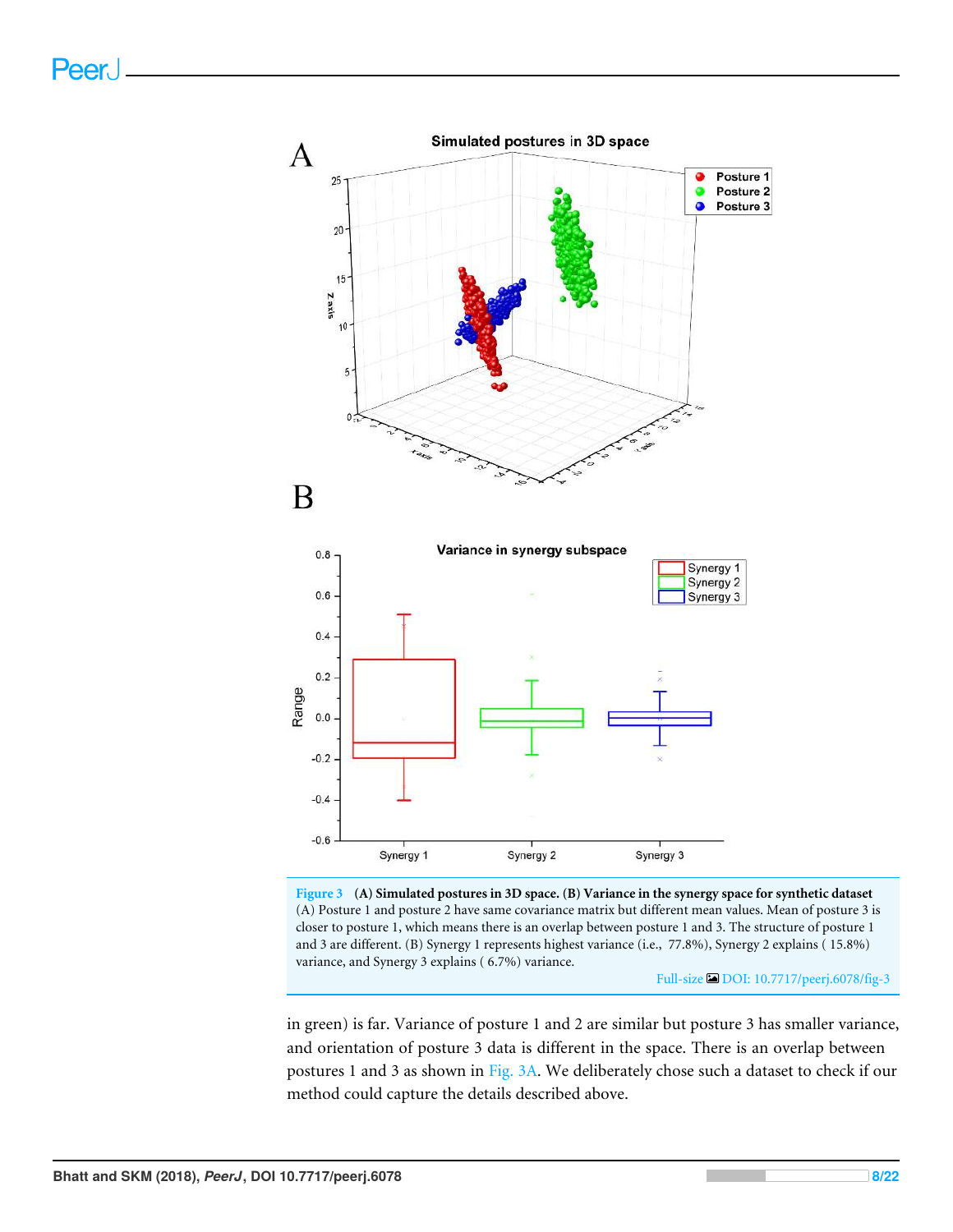

**Figure 3 (A) Simulated postures in 3D space. (B) Variance in the synergy space for synthetic dataset** (A) Posture 1 and posture 2 have same covariance matrix but different mean values. Mean of posture 3 is closer to posture 1, which means there is an overlap between posture 1 and 3. The structure of posture 1 and 3 are different. (B) Synergy 1 represents highest variance (i.e., 77.8%), Synergy 2 explains ( 15.8%) variance, and Synergy 3 explains ( 6.7%) variance.

Full-size DOI: 10.7717/peerj.6078/fig-3

in green) is far. Variance of posture 1 and 2 are similar but posture 3 has smaller variance, and orientation of posture 3 data is different in the space. There is an overlap between postures 1 and 3 as shown in Fig. 3A. We deliberately chose such a dataset to check if our method could capture the details described above.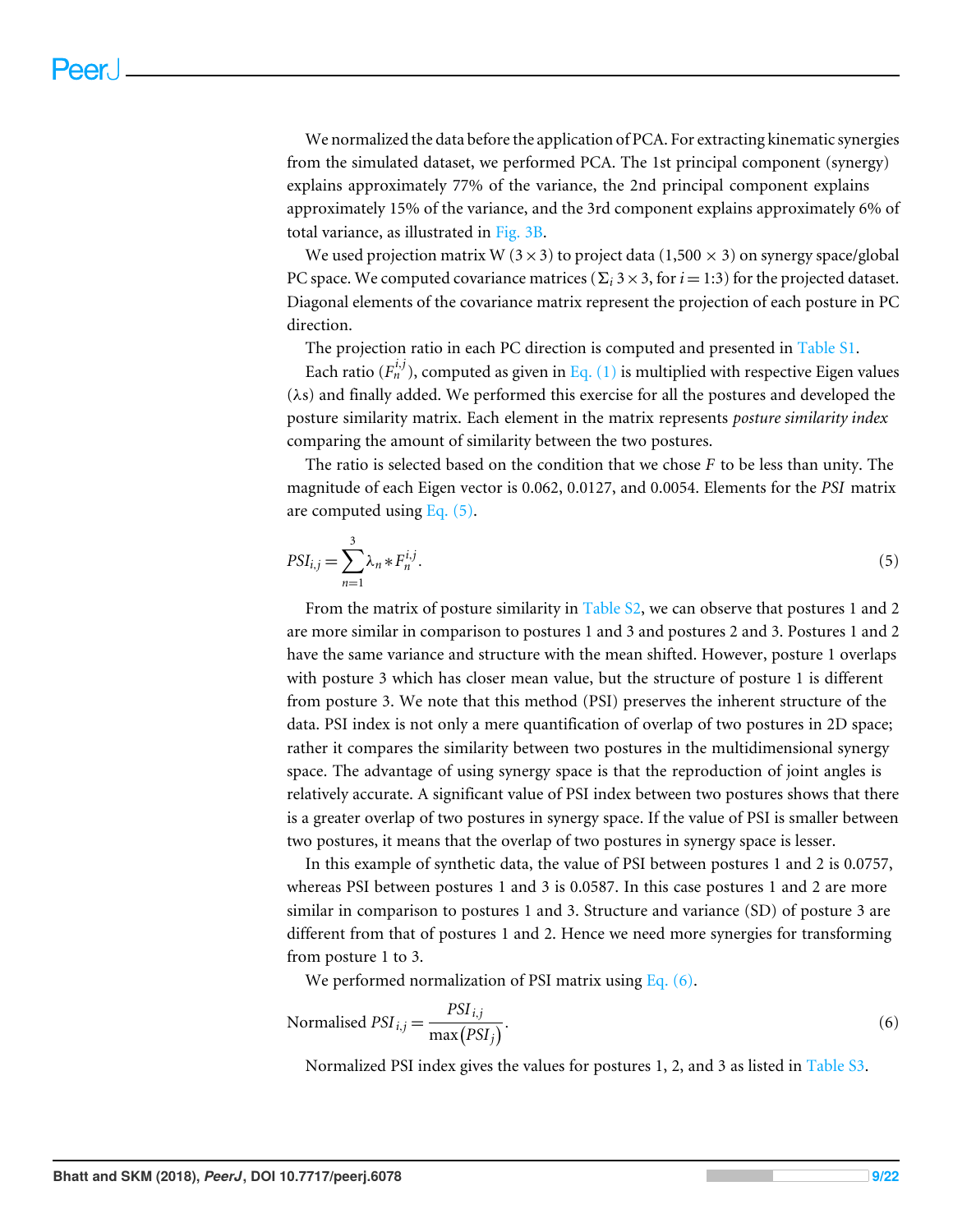We normalized the data before the application of PCA. For extracting kinematic synergies from the simulated dataset, we performed PCA. The 1st principal component (synergy) explains approximately 77% of the variance, the 2nd principal component explains approximately 15% of the variance, and the 3rd component explains approximately 6% of total variance, as illustrated in Fig. 3B.

We used projection matrix W ( $3 \times 3$ ) to project data (1,500  $\times$  3) on synergy space/global PC space. We computed covariance matrices ( $\Sigma_i$  3  $\times$  3, for *i* = 1:3) for the projected dataset. Diagonal elements of the covariance matrix represent the projection of each posture in PC direction.

The projection ratio in each PC direction is computed and presented in Table S1.

Each ratio  $(F_n^{i,j})$ , computed as given in Eq.  $(1)$  is multiplied with respective Eigen values (λs) and finally added. We performed this exercise for all the postures and developed the posture similarity matrix. Each element in the matrix represents *posture similarity index* comparing the amount of similarity between the two postures.

The ratio is selected based on the condition that we chose *F* to be less than unity. The magnitude of each Eigen vector is 0.062, 0.0127, and 0.0054. Elements for the *PSI* matrix are computed using Eq. (5).

$$
PSI_{i,j} = \sum_{n=1}^{3} \lambda_n * F_n^{i,j}.
$$
 (5)

From the matrix of posture similarity in Table S2, we can observe that postures 1 and 2 are more similar in comparison to postures 1 and 3 and postures 2 and 3. Postures 1 and 2 have the same variance and structure with the mean shifted. However, posture 1 overlaps with posture 3 which has closer mean value, but the structure of posture 1 is different from posture 3. We note that this method (PSI) preserves the inherent structure of the data. PSI index is not only a mere quantification of overlap of two postures in 2D space; rather it compares the similarity between two postures in the multidimensional synergy space. The advantage of using synergy space is that the reproduction of joint angles is relatively accurate. A significant value of PSI index between two postures shows that there is a greater overlap of two postures in synergy space. If the value of PSI is smaller between two postures, it means that the overlap of two postures in synergy space is lesser.

In this example of synthetic data, the value of PSI between postures 1 and 2 is 0.0757, whereas PSI between postures 1 and 3 is 0.0587. In this case postures 1 and 2 are more similar in comparison to postures 1 and 3. Structure and variance (SD) of posture 3 are different from that of postures 1 and 2. Hence we need more synergies for transforming from posture 1 to 3.

We performed normalization of PSI matrix using Eq.  $(6)$ .

$$
Normalised PSI_{i,j} = \frac{PSI_{i,j}}{\max(PSI_j)}.
$$
\n(6)

Normalized PSI index gives the values for postures 1, 2, and 3 as listed in Table S3.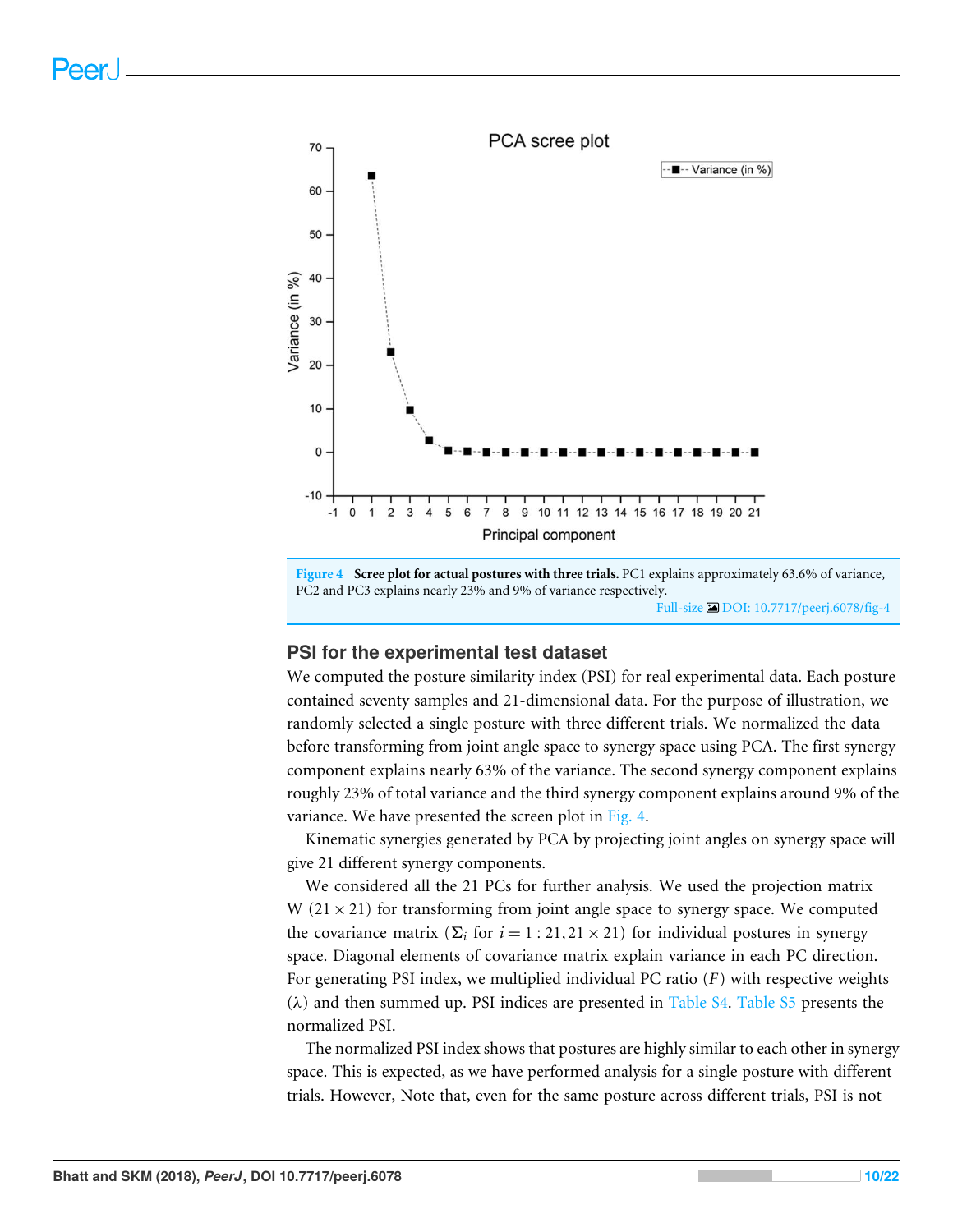



#### **PSI for the experimental test dataset**

We computed the posture similarity index (PSI) for real experimental data. Each posture contained seventy samples and 21-dimensional data. For the purpose of illustration, we randomly selected a single posture with three different trials. We normalized the data before transforming from joint angle space to synergy space using PCA. The first synergy component explains nearly 63% of the variance. The second synergy component explains roughly 23% of total variance and the third synergy component explains around 9% of the variance. We have presented the screen plot in Fig. 4.

Kinematic synergies generated by PCA by projecting joint angles on synergy space will give 21 different synergy components.

We considered all the 21 PCs for further analysis. We used the projection matrix W  $(21 \times 21)$  for transforming from joint angle space to synergy space. We computed the covariance matrix ( $\Sigma_i$  for  $i = 1:21,21 \times 21$ ) for individual postures in synergy space. Diagonal elements of covariance matrix explain variance in each PC direction. For generating PSI index, we multiplied individual PC ratio (*F*) with respective weights  $(\lambda)$  and then summed up. PSI indices are presented in Table S4. Table S5 presents the normalized PSI.

The normalized PSI index shows that postures are highly similar to each other in synergy space. This is expected, as we have performed analysis for a single posture with different trials. However, Note that, even for the same posture across different trials, PSI is not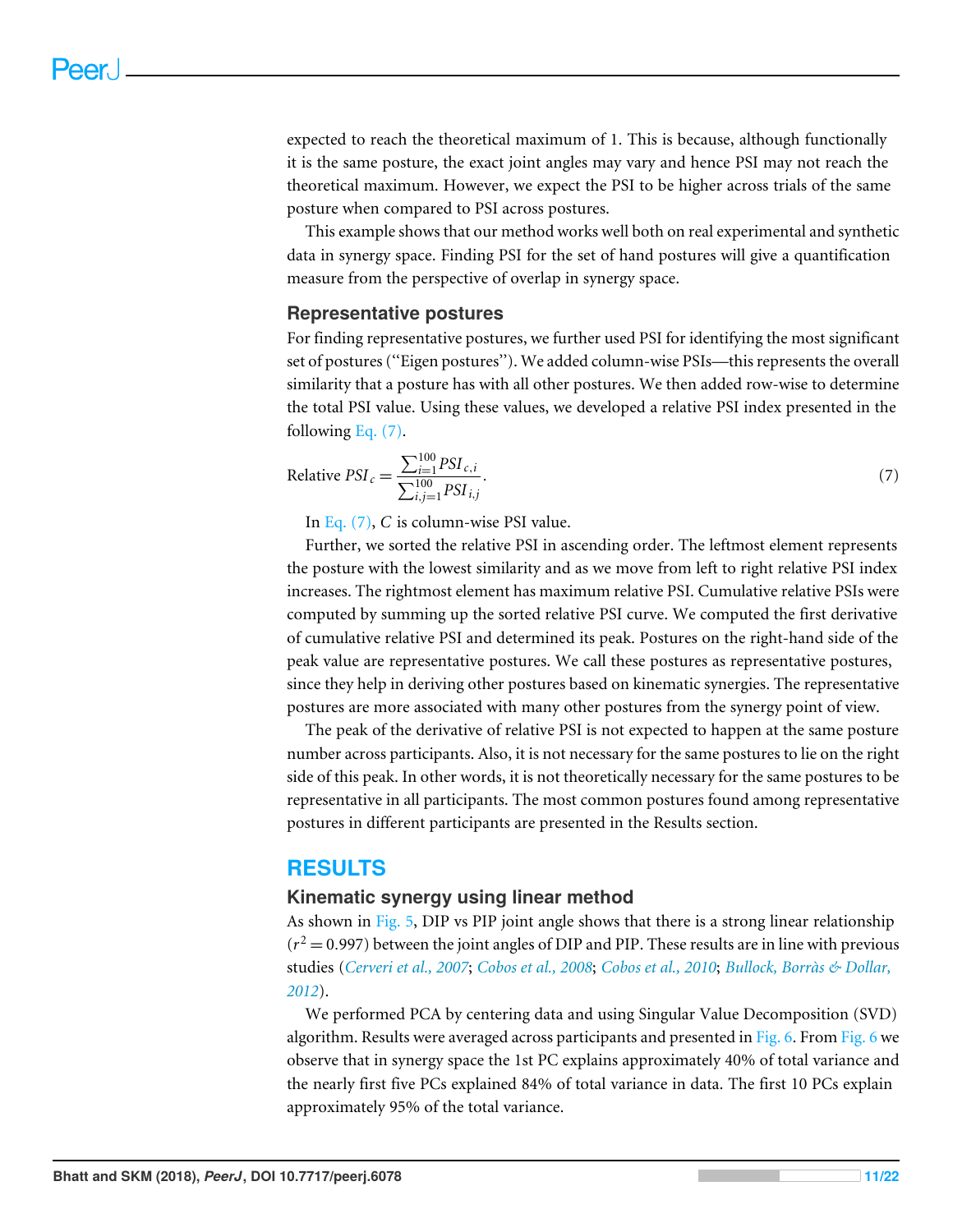expected to reach the theoretical maximum of 1. This is because, although functionally it is the same posture, the exact joint angles may vary and hence PSI may not reach the theoretical maximum. However, we expect the PSI to be higher across trials of the same posture when compared to PSI across postures.

This example shows that our method works well both on real experimental and synthetic data in synergy space. Finding PSI for the set of hand postures will give a quantification measure from the perspective of overlap in synergy space.

#### **Representative postures**

For finding representative postures, we further used PSI for identifying the most significant set of postures (''Eigen postures''). We added column-wise PSIs—this represents the overall similarity that a posture has with all other postures. We then added row-wise to determine the total PSI value. Using these values, we developed a relative PSI index presented in the following Eq. (7).

Relative 
$$
PSI_c = \frac{\sum_{i=1}^{100} PSI_{c,i}}{\sum_{i,j=1}^{100} PSI_{i,j}}.
$$
 (7)

In Eq. (7), *C* is column-wise PSI value.

Further, we sorted the relative PSI in ascending order. The leftmost element represents the posture with the lowest similarity and as we move from left to right relative PSI index increases. The rightmost element has maximum relative PSI. Cumulative relative PSIs were computed by summing up the sorted relative PSI curve. We computed the first derivative of cumulative relative PSI and determined its peak. Postures on the right-hand side of the peak value are representative postures. We call these postures as representative postures, since they help in deriving other postures based on kinematic synergies. The representative postures are more associated with many other postures from the synergy point of view.

The peak of the derivative of relative PSI is not expected to happen at the same posture number across participants. Also, it is not necessary for the same postures to lie on the right side of this peak. In other words, it is not theoretically necessary for the same postures to be representative in all participants. The most common postures found among representative postures in different participants are presented in the Results section.

#### **RESULTS**

#### **Kinematic synergy using linear method**

As shown in Fig. 5, DIP vs PIP joint angle shows that there is a strong linear relationship  $(r^2 = 0.997)$  between the joint angles of DIP and PIP. These results are in line with previous studies (*Cerveri et al., 2007*; *Cobos et al., 2008*; *Cobos et al., 2010*; *Bullock, Borràs & Dollar, 2012*).

We performed PCA by centering data and using Singular Value Decomposition (SVD) algorithm. Results were averaged across participants and presented in Fig. 6. From Fig. 6 we observe that in synergy space the 1st PC explains approximately 40% of total variance and the nearly first five PCs explained 84% of total variance in data. The first 10 PCs explain approximately 95% of the total variance.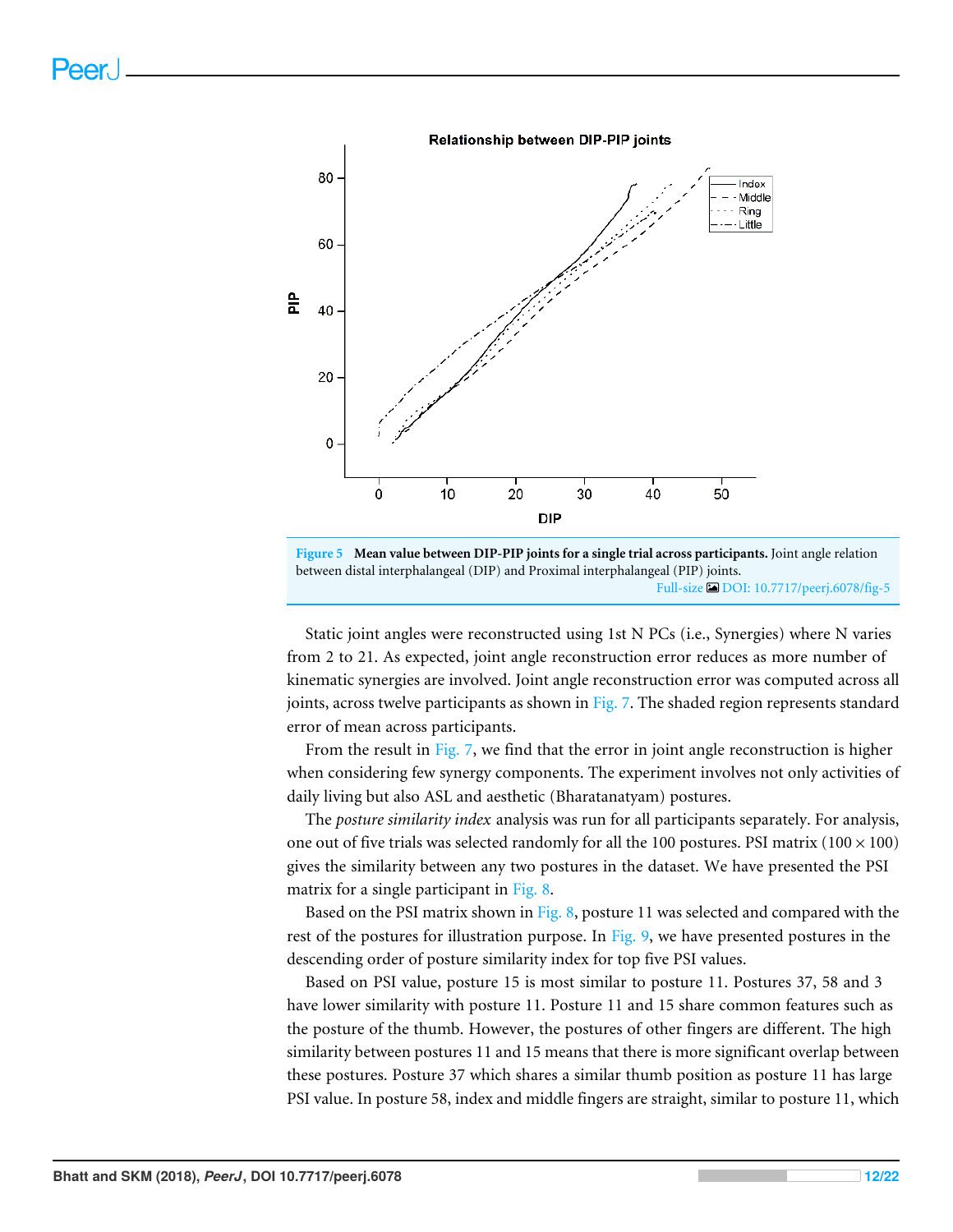

**Figure 5 Mean value between DIP-PIP joints for a single trial across participants.** Joint angle relation between distal interphalangeal (DIP) and Proximal interphalangeal (PIP) joints. Full-size DOI: 10.7717/peerj.6078/fig-5

Static joint angles were reconstructed using 1st N PCs (i.e., Synergies) where N varies from 2 to 21. As expected, joint angle reconstruction error reduces as more number of kinematic synergies are involved. Joint angle reconstruction error was computed across all joints, across twelve participants as shown in Fig. 7. The shaded region represents standard error of mean across participants.

From the result in Fig. 7, we find that the error in joint angle reconstruction is higher when considering few synergy components. The experiment involves not only activities of daily living but also ASL and aesthetic (Bharatanatyam) postures.

The *posture similarity index* analysis was run for all participants separately. For analysis, one out of five trials was selected randomly for all the 100 postures. PSI matrix ( $100 \times 100$ ) gives the similarity between any two postures in the dataset. We have presented the PSI matrix for a single participant in Fig. 8.

Based on the PSI matrix shown in Fig. 8, posture 11 was selected and compared with the rest of the postures for illustration purpose. In Fig. 9, we have presented postures in the descending order of posture similarity index for top five PSI values.

Based on PSI value, posture 15 is most similar to posture 11. Postures 37, 58 and 3 have lower similarity with posture 11. Posture 11 and 15 share common features such as the posture of the thumb. However, the postures of other fingers are different. The high similarity between postures 11 and 15 means that there is more significant overlap between these postures. Posture 37 which shares a similar thumb position as posture 11 has large PSI value. In posture 58, index and middle fingers are straight, similar to posture 11, which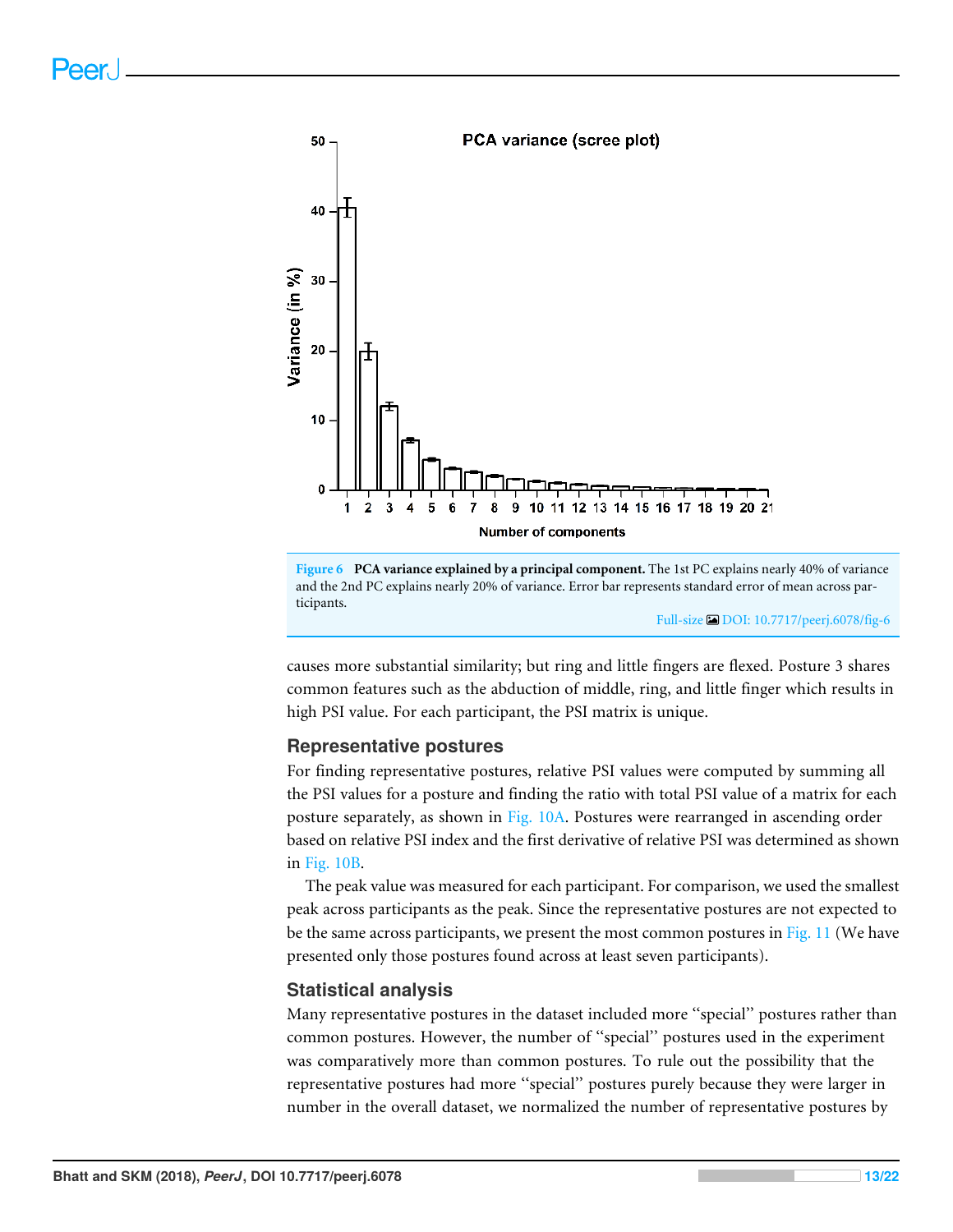

**Figure 6 PCA variance explained by a principal component.** The 1st PC explains nearly 40% of variance and the 2nd PC explains nearly 20% of variance. Error bar represents standard error of mean across participants.

Full-size DOI: 10.7717/peerj.6078/fig-6

causes more substantial similarity; but ring and little fingers are flexed. Posture 3 shares common features such as the abduction of middle, ring, and little finger which results in high PSI value. For each participant, the PSI matrix is unique.

#### **Representative postures**

For finding representative postures, relative PSI values were computed by summing all the PSI values for a posture and finding the ratio with total PSI value of a matrix for each posture separately, as shown in Fig. 10A. Postures were rearranged in ascending order based on relative PSI index and the first derivative of relative PSI was determined as shown in Fig. 10B.

The peak value was measured for each participant. For comparison, we used the smallest peak across participants as the peak. Since the representative postures are not expected to be the same across participants, we present the most common postures in Fig. 11 (We have presented only those postures found across at least seven participants).

#### **Statistical analysis**

Many representative postures in the dataset included more ''special'' postures rather than common postures. However, the number of ''special'' postures used in the experiment was comparatively more than common postures. To rule out the possibility that the representative postures had more ''special'' postures purely because they were larger in number in the overall dataset, we normalized the number of representative postures by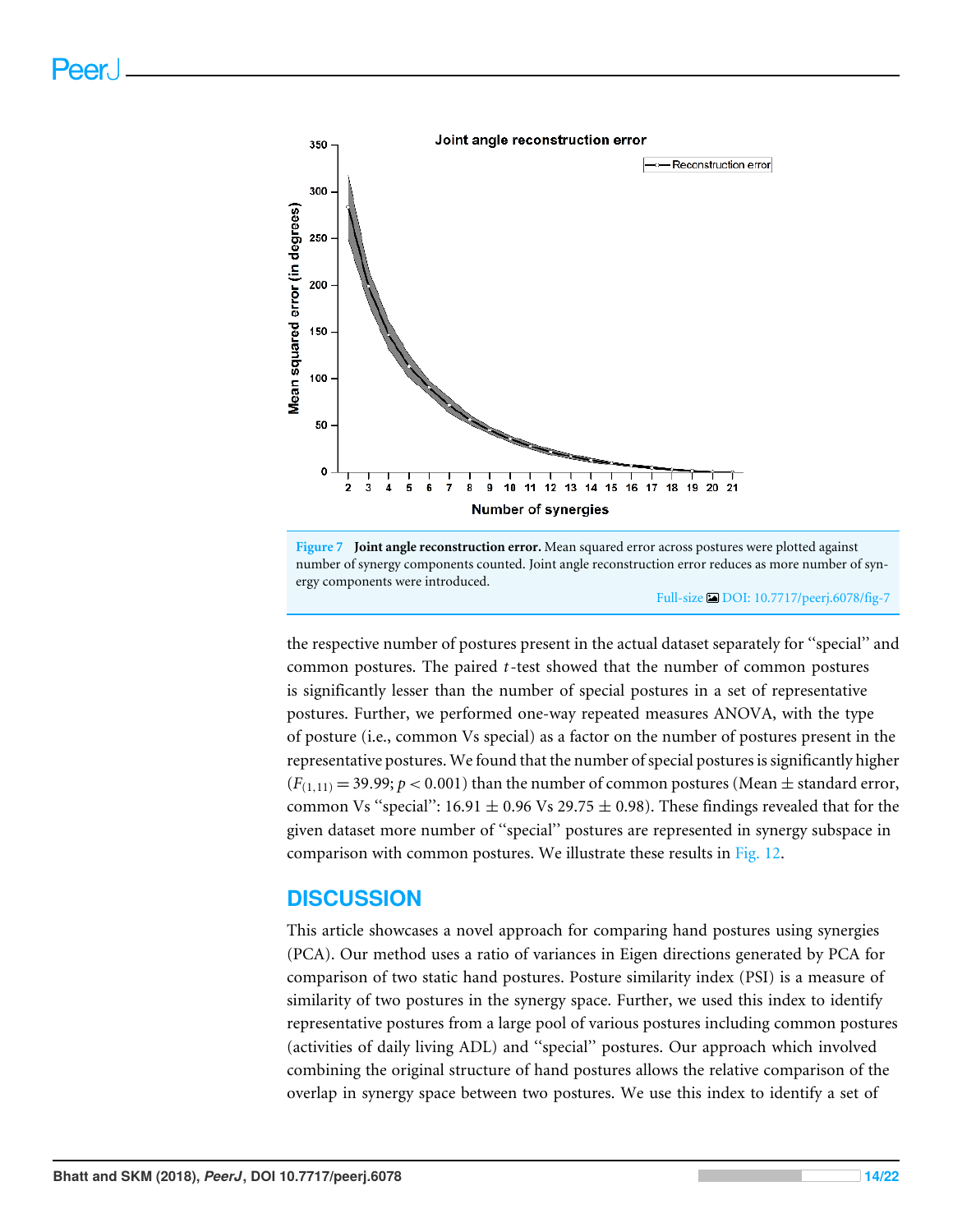

**Figure 7 Joint angle reconstruction error.** Mean squared error across postures were plotted against number of synergy components counted. Joint angle reconstruction error reduces as more number of synergy components were introduced.

Full-size DOI: 10.7717/peerj.6078/fig-7

the respective number of postures present in the actual dataset separately for ''special'' and common postures. The paired *t*-test showed that the number of common postures is significantly lesser than the number of special postures in a set of representative postures. Further, we performed one-way repeated measures ANOVA, with the type of posture (i.e., common Vs special) as a factor on the number of postures present in the representative postures. We found that the number of special postures is significantly higher  $(F_{(1,11)} = 39.99; p < 0.001)$  than the number of common postures (Mean  $\pm$  standard error, common Vs "special":  $16.91 \pm 0.96$  Vs 29.75  $\pm 0.98$ ). These findings revealed that for the given dataset more number of ''special'' postures are represented in synergy subspace in comparison with common postures. We illustrate these results in Fig. 12.

## **DISCUSSION**

This article showcases a novel approach for comparing hand postures using synergies (PCA). Our method uses a ratio of variances in Eigen directions generated by PCA for comparison of two static hand postures. Posture similarity index (PSI) is a measure of similarity of two postures in the synergy space. Further, we used this index to identify representative postures from a large pool of various postures including common postures (activities of daily living ADL) and ''special'' postures. Our approach which involved combining the original structure of hand postures allows the relative comparison of the overlap in synergy space between two postures. We use this index to identify a set of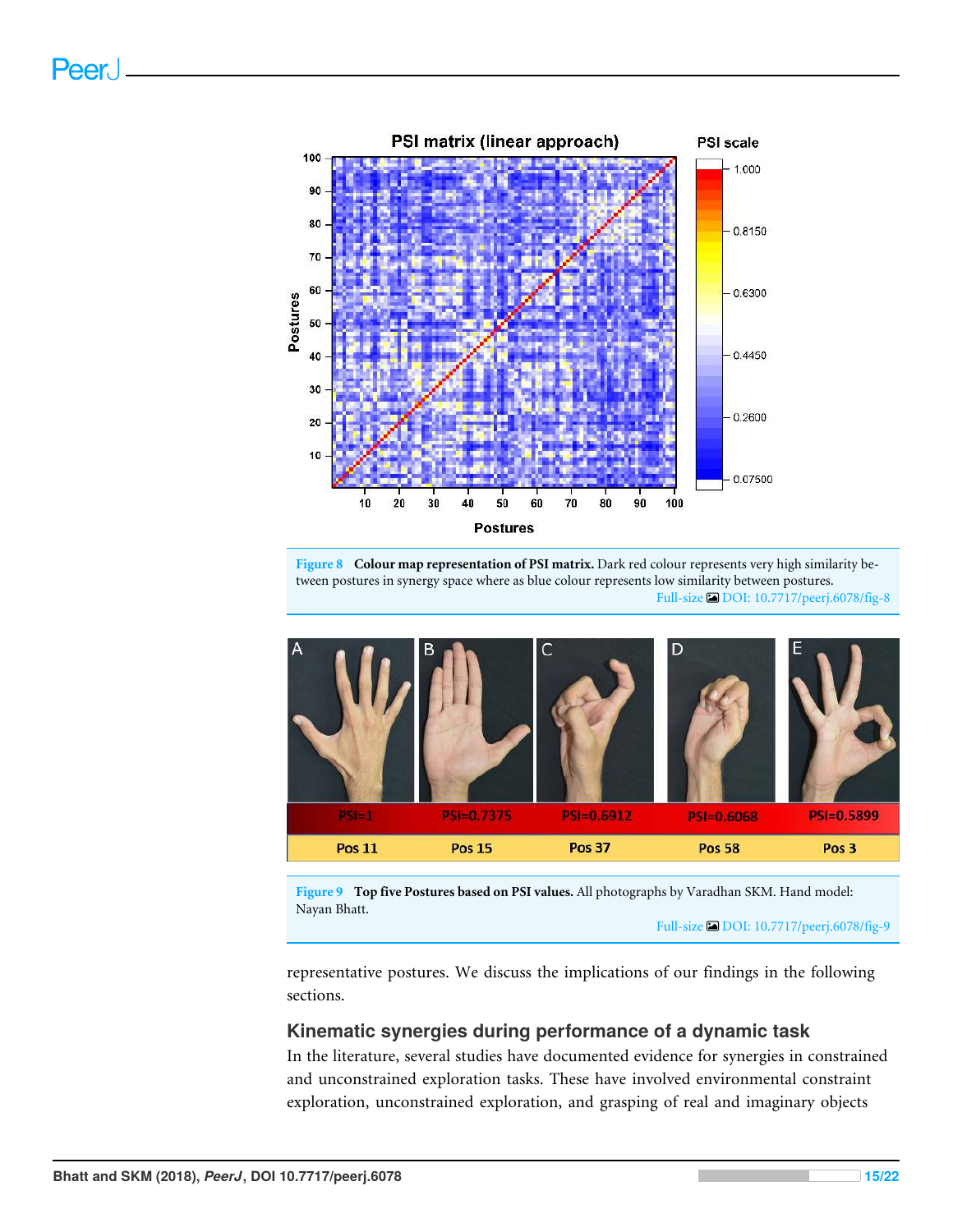

**Figure 8 Colour map representation of PSI matrix.** Dark red colour represents very high similarity between postures in synergy space where as blue colour represents low similarity between postures. Full-size DOI: 10.7717/peerj.6078/fig-8



**Figure 9 Top five Postures based on PSI values.** All photographs by Varadhan SKM. Hand model: Nayan Bhatt.

representative postures. We discuss the implications of our findings in the following sections.

#### **Kinematic synergies during performance of a dynamic task**

In the literature, several studies have documented evidence for synergies in constrained and unconstrained exploration tasks. These have involved environmental constraint exploration, unconstrained exploration, and grasping of real and imaginary objects

Full-size DOI: 10.7717/peerj.6078/fig-9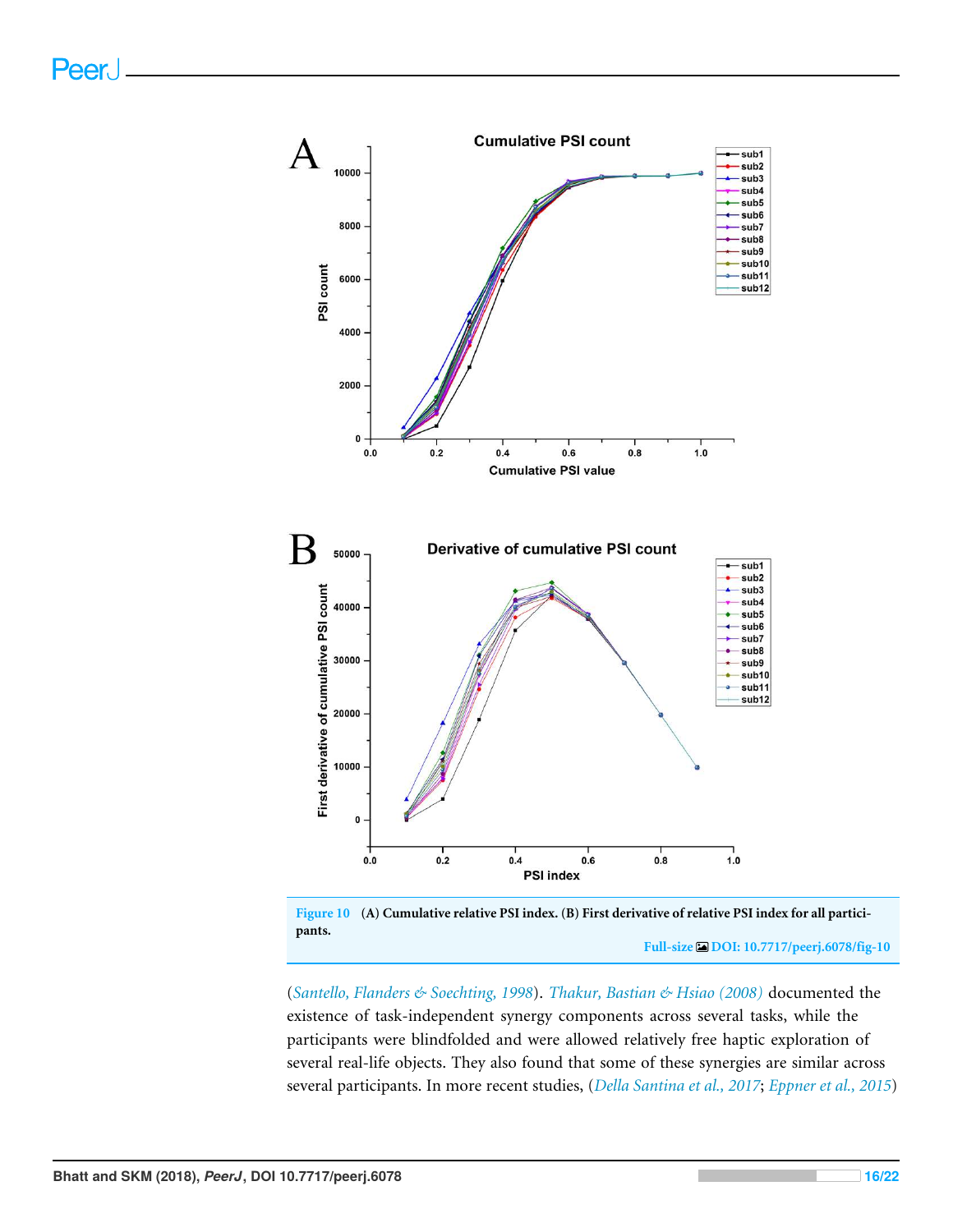

**Figure 10 (A) Cumulative relative PSI index. (B) First derivative of relative PSI index for all participants.**

**Full-size DOI: 10.7717/peerj.6078/fig-10**

(*Santello, Flanders & Soechting, 1998*). *Thakur, Bastian & Hsiao (2008)* documented the existence of task-independent synergy components across several tasks, while the participants were blindfolded and were allowed relatively free haptic exploration of several real-life objects. They also found that some of these synergies are similar across several participants. In more recent studies, (*Della Santina et al., 2017*; *Eppner et al., 2015*)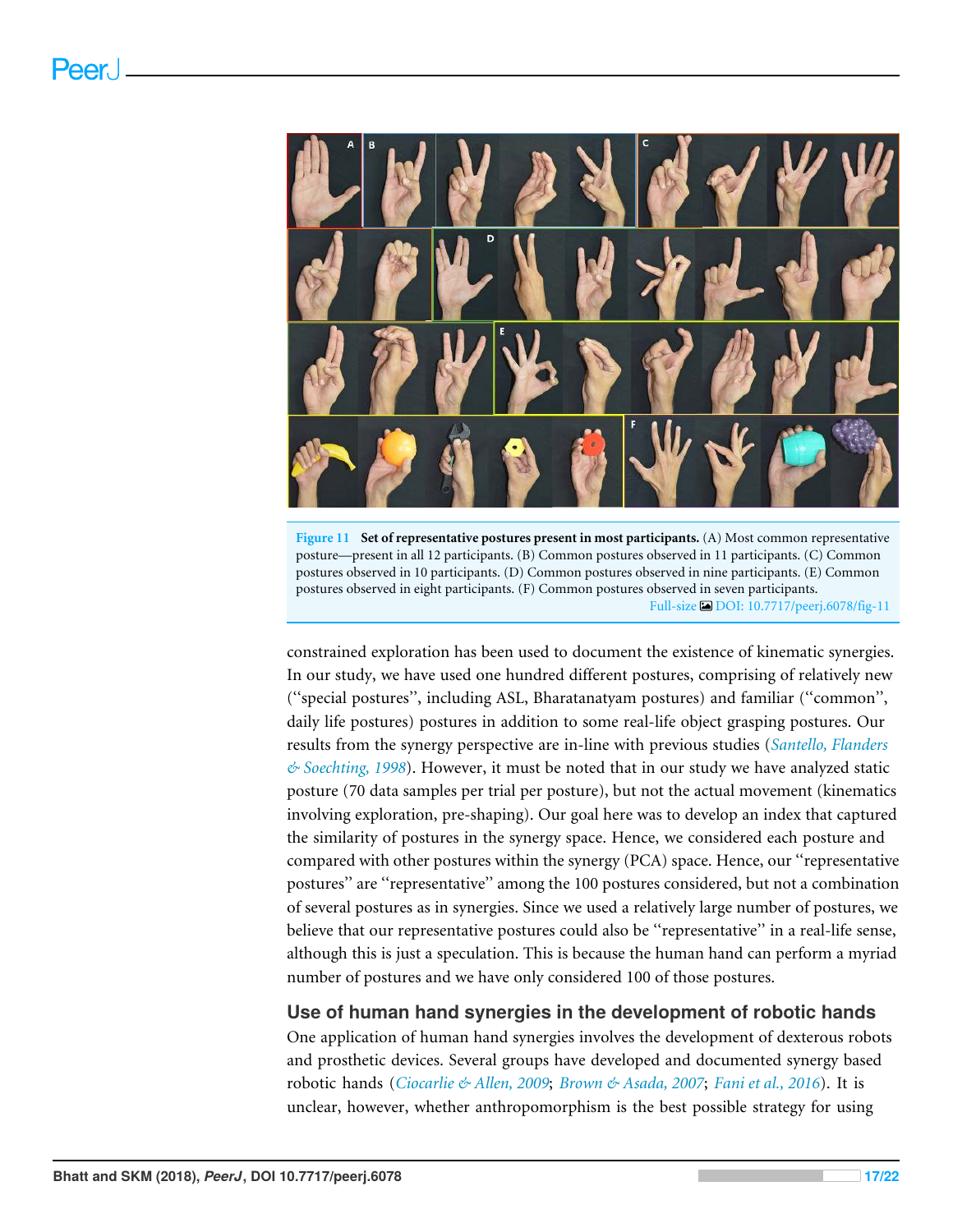

**Figure 11 Set of representative postures present in most participants.** (A) Most common representative posture—present in all 12 participants. (B) Common postures observed in 11 participants. (C) Common postures observed in 10 participants. (D) Common postures observed in nine participants. (E) Common postures observed in eight participants. (F) Common postures observed in seven participants. Full-size DOI: 10.7717/peerj.6078/fig-11

constrained exploration has been used to document the existence of kinematic synergies. In our study, we have used one hundred different postures, comprising of relatively new (''special postures'', including ASL, Bharatanatyam postures) and familiar (''common'', daily life postures) postures in addition to some real-life object grasping postures. Our results from the synergy perspective are in-line with previous studies (*Santello, Flanders & Soechting, 1998*). However, it must be noted that in our study we have analyzed static posture (70 data samples per trial per posture), but not the actual movement (kinematics involving exploration, pre-shaping). Our goal here was to develop an index that captured the similarity of postures in the synergy space. Hence, we considered each posture and compared with other postures within the synergy (PCA) space. Hence, our ''representative postures'' are ''representative'' among the 100 postures considered, but not a combination of several postures as in synergies. Since we used a relatively large number of postures, we believe that our representative postures could also be ''representative'' in a real-life sense, although this is just a speculation. This is because the human hand can perform a myriad number of postures and we have only considered 100 of those postures.

#### **Use of human hand synergies in the development of robotic hands**

One application of human hand synergies involves the development of dexterous robots and prosthetic devices. Several groups have developed and documented synergy based robotic hands (*Ciocarlie & Allen, 2009*; *Brown & Asada, 2007*; *Fani et al., 2016*). It is unclear, however, whether anthropomorphism is the best possible strategy for using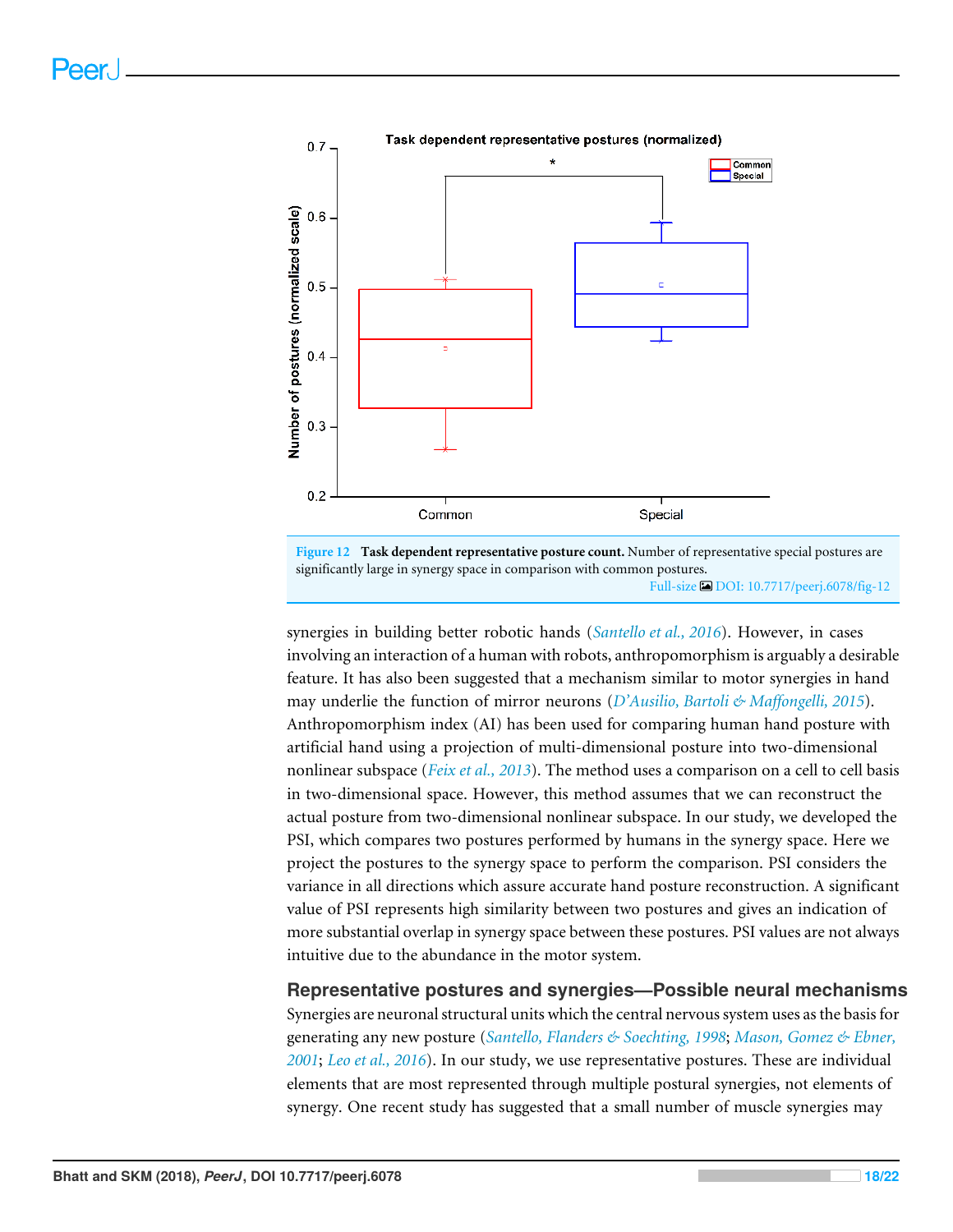

**Figure 12 Task dependent representative posture count.** Number of representative special postures are significantly large in synergy space in comparison with common postures. Full-size DOI: 10.7717/peerj.6078/fig-12

synergies in building better robotic hands (*Santello et al., 2016*). However, in cases involving an interaction of a human with robots, anthropomorphism is arguably a desirable feature. It has also been suggested that a mechanism similar to motor synergies in hand may underlie the function of mirror neurons (*D'Ausilio, Bartoli & Maffongelli, 2015*). Anthropomorphism index (AI) has been used for comparing human hand posture with artificial hand using a projection of multi-dimensional posture into two-dimensional nonlinear subspace (*Feix et al., 2013*). The method uses a comparison on a cell to cell basis in two-dimensional space. However, this method assumes that we can reconstruct the actual posture from two-dimensional nonlinear subspace. In our study, we developed the PSI, which compares two postures performed by humans in the synergy space. Here we project the postures to the synergy space to perform the comparison. PSI considers the variance in all directions which assure accurate hand posture reconstruction. A significant value of PSI represents high similarity between two postures and gives an indication of more substantial overlap in synergy space between these postures. PSI values are not always intuitive due to the abundance in the motor system.

**Representative postures and synergies—Possible neural mechanisms** Synergies are neuronal structural units which the central nervous system uses as the basis for generating any new posture (*Santello, Flanders & Soechting, 1998*; *Mason, Gomez & Ebner, 2001*; *Leo et al., 2016*). In our study, we use representative postures. These are individual elements that are most represented through multiple postural synergies, not elements of synergy. One recent study has suggested that a small number of muscle synergies may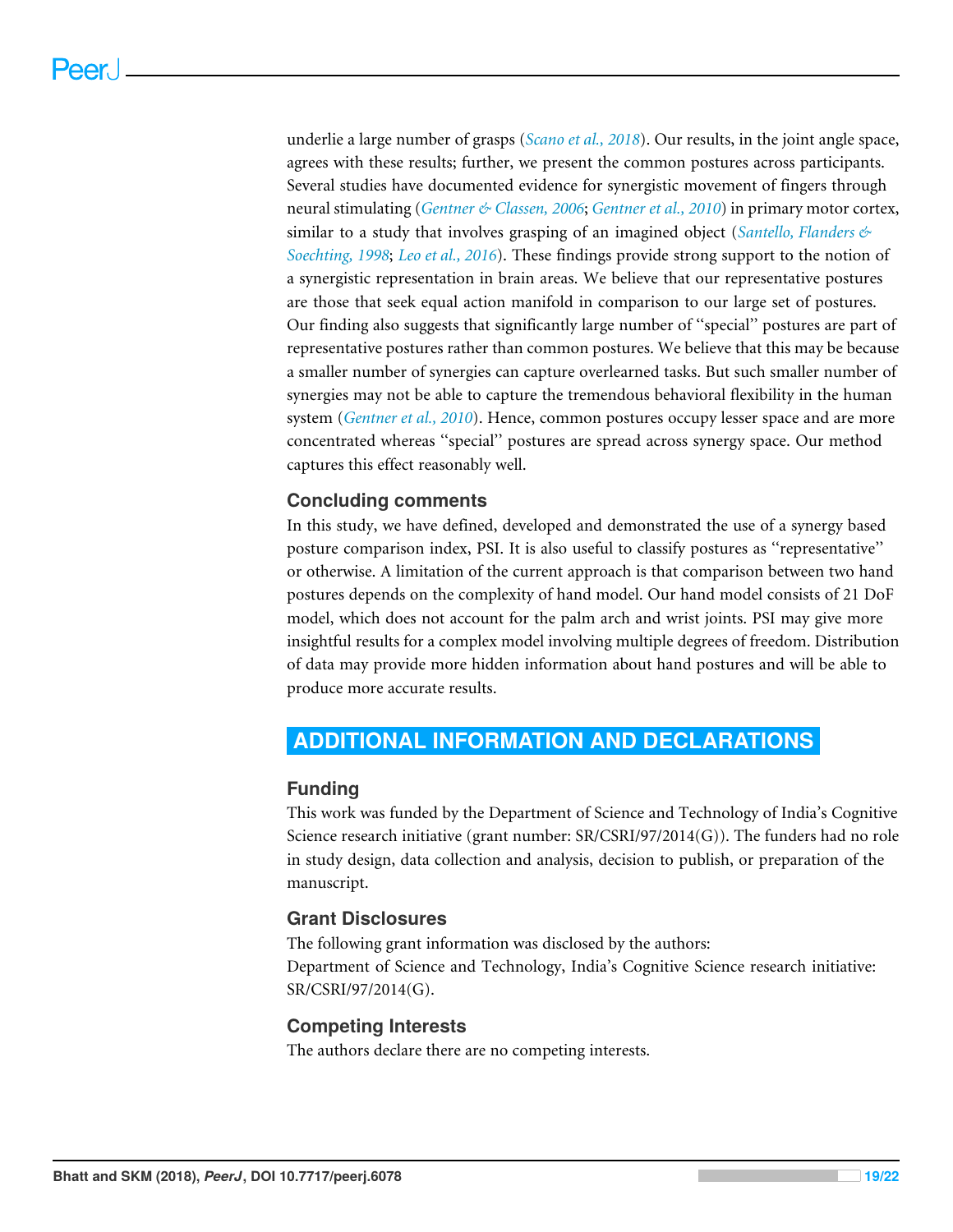underlie a large number of grasps (*Scano et al., 2018*). Our results, in the joint angle space, agrees with these results; further, we present the common postures across participants. Several studies have documented evidence for synergistic movement of fingers through neural stimulating (*Gentner & Classen, 2006*; *Gentner et al., 2010*) in primary motor cortex, similar to a study that involves grasping of an imagined object (*Santello, Flanders & Soechting, 1998*; *Leo et al., 2016*). These findings provide strong support to the notion of a synergistic representation in brain areas. We believe that our representative postures are those that seek equal action manifold in comparison to our large set of postures. Our finding also suggests that significantly large number of ''special'' postures are part of representative postures rather than common postures. We believe that this may be because a smaller number of synergies can capture overlearned tasks. But such smaller number of synergies may not be able to capture the tremendous behavioral flexibility in the human system (*Gentner et al., 2010*). Hence, common postures occupy lesser space and are more concentrated whereas ''special'' postures are spread across synergy space. Our method captures this effect reasonably well.

#### **Concluding comments**

In this study, we have defined, developed and demonstrated the use of a synergy based posture comparison index, PSI. It is also useful to classify postures as ''representative'' or otherwise. A limitation of the current approach is that comparison between two hand postures depends on the complexity of hand model. Our hand model consists of 21 DoF model, which does not account for the palm arch and wrist joints. PSI may give more insightful results for a complex model involving multiple degrees of freedom. Distribution of data may provide more hidden information about hand postures and will be able to produce more accurate results.

## **ADDITIONAL INFORMATION AND DECLARATIONS**

#### **Funding**

This work was funded by the Department of Science and Technology of India's Cognitive Science research initiative (grant number: SR/CSRI/97/2014(G)). The funders had no role in study design, data collection and analysis, decision to publish, or preparation of the manuscript.

#### **Grant Disclosures**

The following grant information was disclosed by the authors: Department of Science and Technology, India's Cognitive Science research initiative: SR/CSRI/97/2014(G).

#### **Competing Interests**

The authors declare there are no competing interests.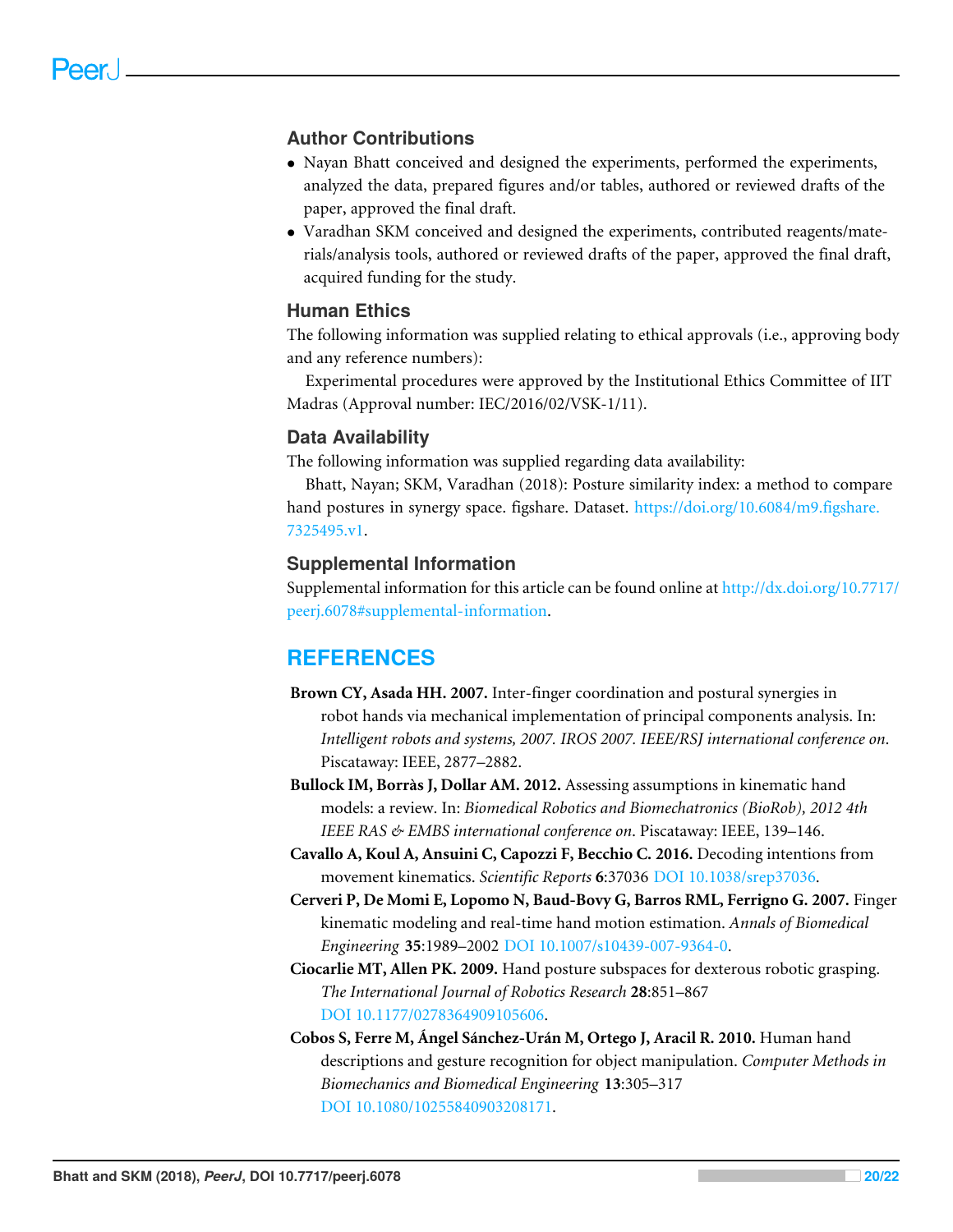#### **Author Contributions**

- Nayan Bhatt conceived and designed the experiments, performed the experiments, analyzed the data, prepared figures and/or tables, authored or reviewed drafts of the paper, approved the final draft.
- Varadhan SKM conceived and designed the experiments, contributed reagents/materials/analysis tools, authored or reviewed drafts of the paper, approved the final draft, acquired funding for the study.

#### **Human Ethics**

The following information was supplied relating to ethical approvals (i.e., approving body and any reference numbers):

Experimental procedures were approved by the Institutional Ethics Committee of IIT Madras (Approval number: IEC/2016/02/VSK-1/11).

#### **Data Availability**

The following information was supplied regarding data availability:

Bhatt, Nayan; SKM, Varadhan (2018): Posture similarity index: a method to compare hand postures in synergy space. figshare. Dataset. https://doi.org/10.6084/m9.figshare. 7325495.v1.

#### **Supplemental Information**

Supplemental information for this article can be found online at http://dx.doi.org/10.7717/ peerj.6078#supplemental-information.

## **REFERENCES**

- **Brown CY, Asada HH. 2007.** Inter-finger coordination and postural synergies in robot hands via mechanical implementation of principal components analysis. In: *Intelligent robots and systems, 2007. IROS 2007. IEEE/RSJ international conference on*. Piscataway: IEEE, 2877–2882.
- **Bullock IM, Borràs J, Dollar AM. 2012.** Assessing assumptions in kinematic hand models: a review. In: *Biomedical Robotics and Biomechatronics (BioRob), 2012 4th IEEE RAS & EMBS international conference on*. Piscataway: IEEE, 139–146.
- **Cavallo A, Koul A, Ansuini C, Capozzi F, Becchio C. 2016.** Decoding intentions from movement kinematics. *Scientific Reports* **6**:37036 DOI 10.1038/srep37036.
- **Cerveri P, De Momi E, Lopomo N, Baud-Bovy G, Barros RML, Ferrigno G. 2007.** Finger kinematic modeling and real-time hand motion estimation. *Annals of Biomedical Engineering* **35**:1989–2002 DOI 10.1007/s10439-007-9364-0.
- **Ciocarlie MT, Allen PK. 2009.** Hand posture subspaces for dexterous robotic grasping. *The International Journal of Robotics Research* **28**:851–867 DOI 10.1177/0278364909105606.
- **Cobos S, Ferre M, Ángel Sánchez-Urán M, Ortego J, Aracil R. 2010.** Human hand descriptions and gesture recognition for object manipulation. *Computer Methods in Biomechanics and Biomedical Engineering* **13**:305–317 DOI 10.1080/10255840903208171.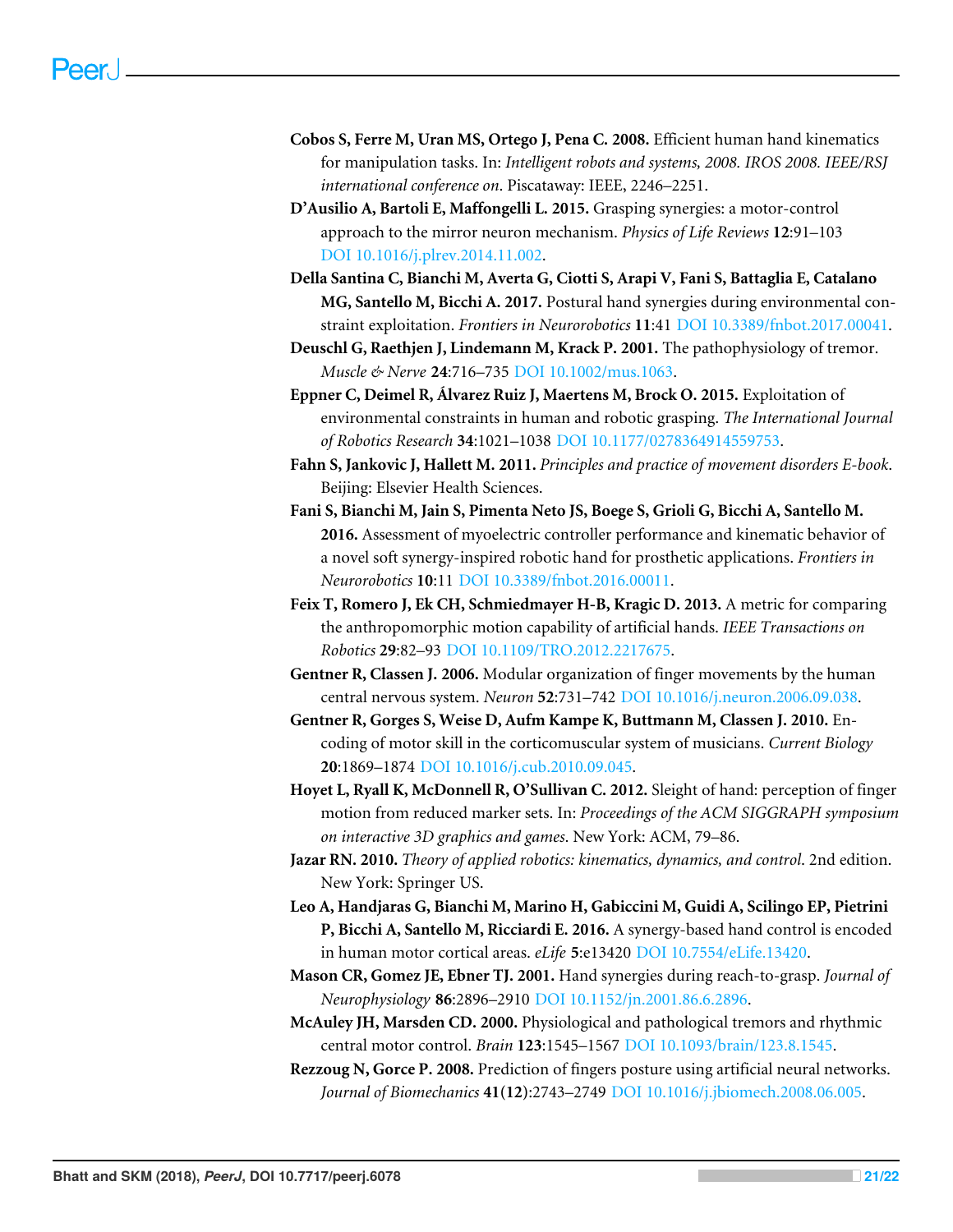- **Cobos S, Ferre M, Uran MS, Ortego J, Pena C. 2008.** Efficient human hand kinematics for manipulation tasks. In: *Intelligent robots and systems, 2008. IROS 2008. IEEE/RSJ international conference on*. Piscataway: IEEE, 2246–2251.
- **D'Ausilio A, Bartoli E, Maffongelli L. 2015.** Grasping synergies: a motor-control approach to the mirror neuron mechanism. *Physics of Life Reviews* **12**:91–103 DOI 10.1016/j.plrev.2014.11.002.
- **Della Santina C, Bianchi M, Averta G, Ciotti S, Arapi V, Fani S, Battaglia E, Catalano MG, Santello M, Bicchi A. 2017.** Postural hand synergies during environmental constraint exploitation. *Frontiers in Neurorobotics* **11**:41 DOI 10.3389/fnbot.2017.00041.
- **Deuschl G, Raethjen J, Lindemann M, Krack P. 2001.** The pathophysiology of tremor. *Muscle & Nerve* **24**:716–735 DOI 10.1002/mus.1063.
- **Eppner C, Deimel R, Álvarez Ruiz J, Maertens M, Brock O. 2015.** Exploitation of environmental constraints in human and robotic grasping. *The International Journal of Robotics Research* **34**:1021–1038 DOI 10.1177/0278364914559753.
- **Fahn S, Jankovic J, Hallett M. 2011.** *Principles and practice of movement disorders E-book*. Beijing: Elsevier Health Sciences.
- **Fani S, Bianchi M, Jain S, Pimenta Neto JS, Boege S, Grioli G, Bicchi A, Santello M. 2016.** Assessment of myoelectric controller performance and kinematic behavior of a novel soft synergy-inspired robotic hand for prosthetic applications. *Frontiers in Neurorobotics* **10**:11 DOI 10.3389/fnbot.2016.00011.
- **Feix T, Romero J, Ek CH, Schmiedmayer H-B, Kragic D. 2013.** A metric for comparing the anthropomorphic motion capability of artificial hands. *IEEE Transactions on Robotics* **29**:82–93 DOI 10.1109/TRO.2012.2217675.
- **Gentner R, Classen J. 2006.** Modular organization of finger movements by the human central nervous system. *Neuron* **52**:731–742 DOI 10.1016/j.neuron.2006.09.038.
- **Gentner R, Gorges S, Weise D, Aufm Kampe K, Buttmann M, Classen J. 2010.** Encoding of motor skill in the corticomuscular system of musicians. *Current Biology* **20**:1869–1874 DOI 10.1016/j.cub.2010.09.045.
- **Hoyet L, Ryall K, McDonnell R, O'Sullivan C. 2012.** Sleight of hand: perception of finger motion from reduced marker sets. In: *Proceedings of the ACM SIGGRAPH symposium on interactive 3D graphics and games*. New York: ACM, 79–86.
- **Jazar RN. 2010.** *Theory of applied robotics: kinematics, dynamics, and control*. 2nd edition. New York: Springer US.
- **Leo A, Handjaras G, Bianchi M, Marino H, Gabiccini M, Guidi A, Scilingo EP, Pietrini P, Bicchi A, Santello M, Ricciardi E. 2016.** A synergy-based hand control is encoded in human motor cortical areas. *eLife* **5**:e13420 DOI 10.7554/eLife.13420.
- **Mason CR, Gomez JE, Ebner TJ. 2001.** Hand synergies during reach-to-grasp. *Journal of Neurophysiology* **86**:2896–2910 DOI 10.1152/jn.2001.86.6.2896.
- **McAuley JH, Marsden CD. 2000.** Physiological and pathological tremors and rhythmic central motor control. *Brain* **123**:1545–1567 DOI 10.1093/brain/123.8.1545.
- **Rezzoug N, Gorce P. 2008.** Prediction of fingers posture using artificial neural networks. *Journal of Biomechanics* **41(12)**:2743–2749 DOI 10.1016/j.jbiomech.2008.06.005.